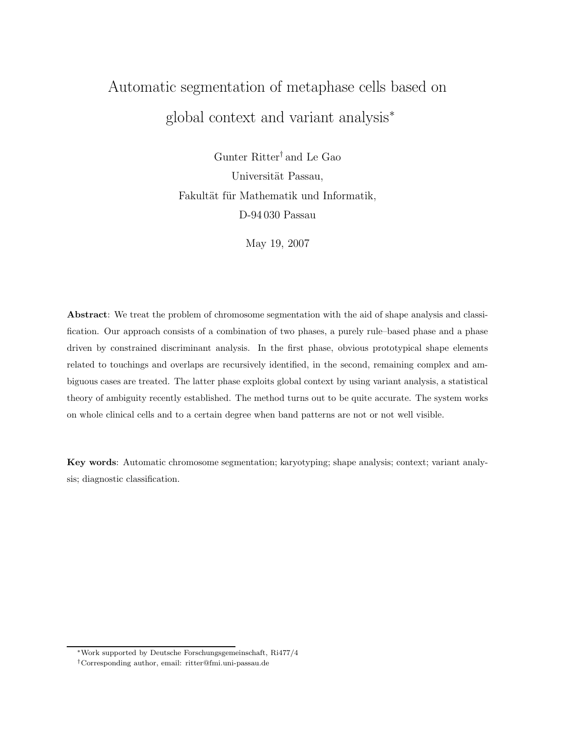# Automatic segmentation of metaphase cells based on global context and variant analysis<sup>∗</sup>

Gunter Ritter† and Le Gao Universität Passau, Fakultät für Mathematik und Informatik, D-94 030 Passau

May 19, 2007

Abstract: We treat the problem of chromosome segmentation with the aid of shape analysis and classification. Our approach consists of a combination of two phases, a purely rule–based phase and a phase driven by constrained discriminant analysis. In the first phase, obvious prototypical shape elements related to touchings and overlaps are recursively identified, in the second, remaining complex and ambiguous cases are treated. The latter phase exploits global context by using variant analysis, a statistical theory of ambiguity recently established. The method turns out to be quite accurate. The system works on whole clinical cells and to a certain degree when band patterns are not or not well visible.

Key words: Automatic chromosome segmentation; karyotyping; shape analysis; context; variant analysis; diagnostic classification.

<sup>∗</sup>Work supported by Deutsche Forschungsgemeinschaft, Ri477/4

<sup>†</sup>Corresponding author, email: ritter@fmi.uni-passau.de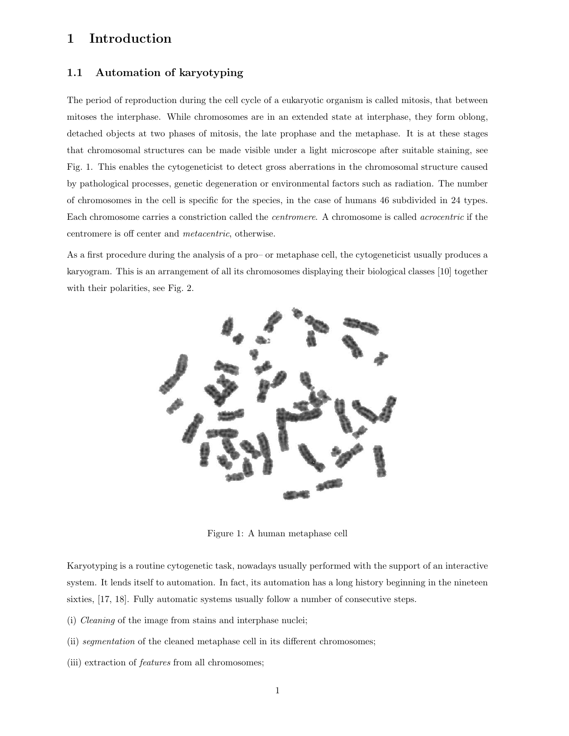### 1 Introduction

### 1.1 Automation of karyotyping

The period of reproduction during the cell cycle of a eukaryotic organism is called mitosis, that between mitoses the interphase. While chromosomes are in an extended state at interphase, they form oblong, detached objects at two phases of mitosis, the late prophase and the metaphase. It is at these stages that chromosomal structures can be made visible under a light microscope after suitable staining, see Fig. 1. This enables the cytogeneticist to detect gross aberrations in the chromosomal structure caused by pathological processes, genetic degeneration or environmental factors such as radiation. The number of chromosomes in the cell is specific for the species, in the case of humans 46 subdivided in 24 types. Each chromosome carries a constriction called the *centromere*. A chromosome is called *acrocentric* if the centromere is off center and metacentric, otherwise.

As a first procedure during the analysis of a pro– or metaphase cell, the cytogeneticist usually produces a karyogram. This is an arrangement of all its chromosomes displaying their biological classes [10] together with their polarities, see Fig. 2.



Figure 1: A human metaphase cell

Karyotyping is a routine cytogenetic task, nowadays usually performed with the support of an interactive system. It lends itself to automation. In fact, its automation has a long history beginning in the nineteen sixties, [17, 18]. Fully automatic systems usually follow a number of consecutive steps.

- (i) Cleaning of the image from stains and interphase nuclei;
- (ii) segmentation of the cleaned metaphase cell in its different chromosomes;
- (iii) extraction of features from all chromosomes;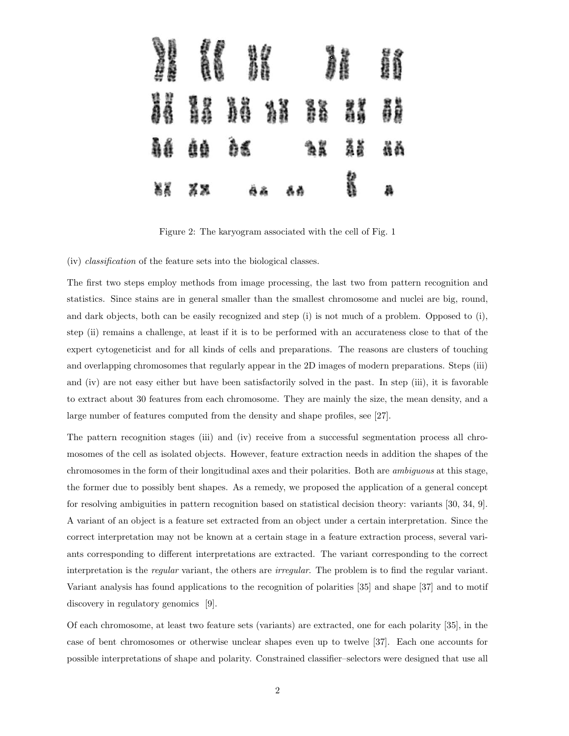

Figure 2: The karyogram associated with the cell of Fig. 1

(iv) classification of the feature sets into the biological classes.

The first two steps employ methods from image processing, the last two from pattern recognition and statistics. Since stains are in general smaller than the smallest chromosome and nuclei are big, round, and dark objects, both can be easily recognized and step (i) is not much of a problem. Opposed to (i), step (ii) remains a challenge, at least if it is to be performed with an accurateness close to that of the expert cytogeneticist and for all kinds of cells and preparations. The reasons are clusters of touching and overlapping chromosomes that regularly appear in the 2D images of modern preparations. Steps (iii) and (iv) are not easy either but have been satisfactorily solved in the past. In step (iii), it is favorable to extract about 30 features from each chromosome. They are mainly the size, the mean density, and a large number of features computed from the density and shape profiles, see [27].

The pattern recognition stages (iii) and (iv) receive from a successful segmentation process all chromosomes of the cell as isolated objects. However, feature extraction needs in addition the shapes of the chromosomes in the form of their longitudinal axes and their polarities. Both are ambiguous at this stage, the former due to possibly bent shapes. As a remedy, we proposed the application of a general concept for resolving ambiguities in pattern recognition based on statistical decision theory: variants [30, 34, 9]. A variant of an object is a feature set extracted from an object under a certain interpretation. Since the correct interpretation may not be known at a certain stage in a feature extraction process, several variants corresponding to different interpretations are extracted. The variant corresponding to the correct interpretation is the *regular* variant, the others are *irregular*. The problem is to find the regular variant. Variant analysis has found applications to the recognition of polarities [35] and shape [37] and to motif discovery in regulatory genomics [9].

Of each chromosome, at least two feature sets (variants) are extracted, one for each polarity [35], in the case of bent chromosomes or otherwise unclear shapes even up to twelve [37]. Each one accounts for possible interpretations of shape and polarity. Constrained classifier–selectors were designed that use all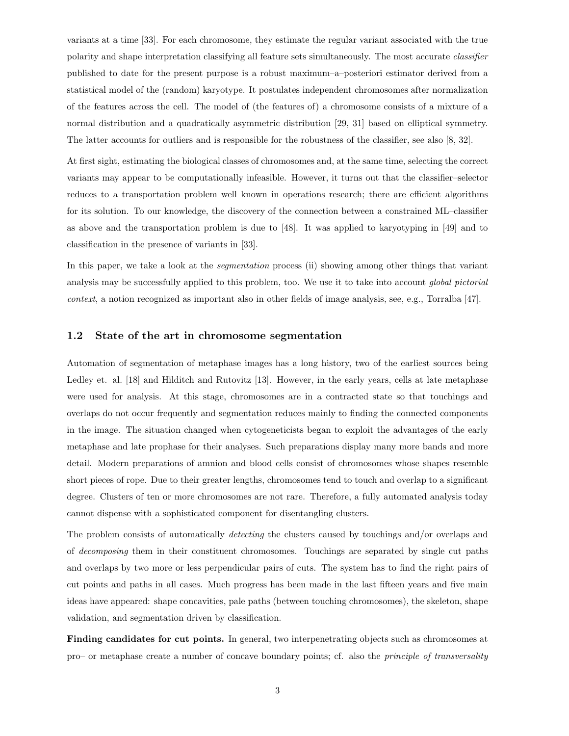variants at a time [33]. For each chromosome, they estimate the regular variant associated with the true polarity and shape interpretation classifying all feature sets simultaneously. The most accurate classifier published to date for the present purpose is a robust maximum–a–posteriori estimator derived from a statistical model of the (random) karyotype. It postulates independent chromosomes after normalization of the features across the cell. The model of (the features of) a chromosome consists of a mixture of a normal distribution and a quadratically asymmetric distribution [29, 31] based on elliptical symmetry. The latter accounts for outliers and is responsible for the robustness of the classifier, see also [8, 32].

At first sight, estimating the biological classes of chromosomes and, at the same time, selecting the correct variants may appear to be computationally infeasible. However, it turns out that the classifier–selector reduces to a transportation problem well known in operations research; there are efficient algorithms for its solution. To our knowledge, the discovery of the connection between a constrained ML–classifier as above and the transportation problem is due to [48]. It was applied to karyotyping in [49] and to classification in the presence of variants in [33].

In this paper, we take a look at the *segmentation* process (ii) showing among other things that variant analysis may be successfully applied to this problem, too. We use it to take into account global pictorial context, a notion recognized as important also in other fields of image analysis, see, e.g., Torralba [47].

#### 1.2 State of the art in chromosome segmentation

Automation of segmentation of metaphase images has a long history, two of the earliest sources being Ledley et. al. [18] and Hilditch and Rutovitz [13]. However, in the early years, cells at late metaphase were used for analysis. At this stage, chromosomes are in a contracted state so that touchings and overlaps do not occur frequently and segmentation reduces mainly to finding the connected components in the image. The situation changed when cytogeneticists began to exploit the advantages of the early metaphase and late prophase for their analyses. Such preparations display many more bands and more detail. Modern preparations of amnion and blood cells consist of chromosomes whose shapes resemble short pieces of rope. Due to their greater lengths, chromosomes tend to touch and overlap to a significant degree. Clusters of ten or more chromosomes are not rare. Therefore, a fully automated analysis today cannot dispense with a sophisticated component for disentangling clusters.

The problem consists of automatically *detecting* the clusters caused by touchings and/or overlaps and of decomposing them in their constituent chromosomes. Touchings are separated by single cut paths and overlaps by two more or less perpendicular pairs of cuts. The system has to find the right pairs of cut points and paths in all cases. Much progress has been made in the last fifteen years and five main ideas have appeared: shape concavities, pale paths (between touching chromosomes), the skeleton, shape validation, and segmentation driven by classification.

Finding candidates for cut points. In general, two interpenetrating objects such as chromosomes at pro– or metaphase create a number of concave boundary points; cf. also the principle of transversality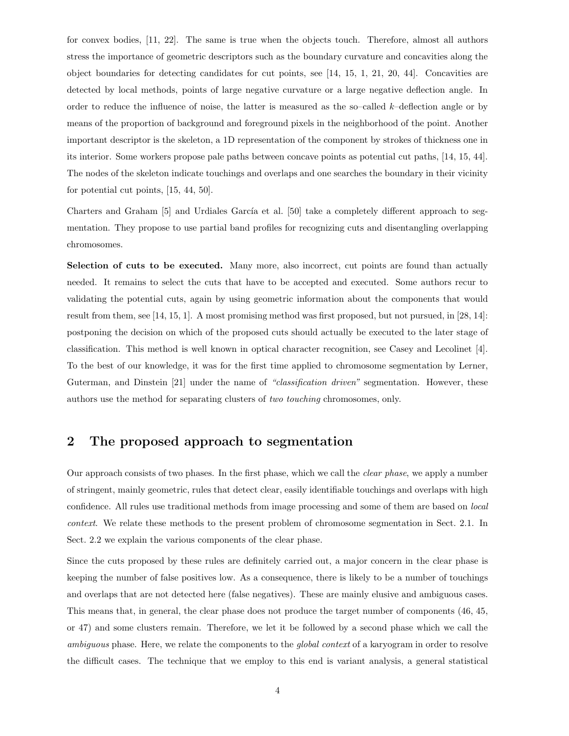for convex bodies, [11, 22]. The same is true when the objects touch. Therefore, almost all authors stress the importance of geometric descriptors such as the boundary curvature and concavities along the object boundaries for detecting candidates for cut points, see [14, 15, 1, 21, 20, 44]. Concavities are detected by local methods, points of large negative curvature or a large negative deflection angle. In order to reduce the influence of noise, the latter is measured as the so–called k–deflection angle or by means of the proportion of background and foreground pixels in the neighborhood of the point. Another important descriptor is the skeleton, a 1D representation of the component by strokes of thickness one in its interior. Some workers propose pale paths between concave points as potential cut paths, [14, 15, 44]. The nodes of the skeleton indicate touchings and overlaps and one searches the boundary in their vicinity for potential cut points, [15, 44, 50].

Charters and Graham [5] and Urdiales García et al. [50] take a completely different approach to segmentation. They propose to use partial band profiles for recognizing cuts and disentangling overlapping chromosomes.

Selection of cuts to be executed. Many more, also incorrect, cut points are found than actually needed. It remains to select the cuts that have to be accepted and executed. Some authors recur to validating the potential cuts, again by using geometric information about the components that would result from them, see [14, 15, 1]. A most promising method was first proposed, but not pursued, in [28, 14]: postponing the decision on which of the proposed cuts should actually be executed to the later stage of classification. This method is well known in optical character recognition, see Casey and Lecolinet [4]. To the best of our knowledge, it was for the first time applied to chromosome segmentation by Lerner, Guterman, and Dinstein [21] under the name of "classification driven" segmentation. However, these authors use the method for separating clusters of two touching chromosomes, only.

# 2 The proposed approach to segmentation

Our approach consists of two phases. In the first phase, which we call the clear phase, we apply a number of stringent, mainly geometric, rules that detect clear, easily identifiable touchings and overlaps with high confidence. All rules use traditional methods from image processing and some of them are based on local context. We relate these methods to the present problem of chromosome segmentation in Sect. 2.1. In Sect. 2.2 we explain the various components of the clear phase.

Since the cuts proposed by these rules are definitely carried out, a major concern in the clear phase is keeping the number of false positives low. As a consequence, there is likely to be a number of touchings and overlaps that are not detected here (false negatives). These are mainly elusive and ambiguous cases. This means that, in general, the clear phase does not produce the target number of components (46, 45, or 47) and some clusters remain. Therefore, we let it be followed by a second phase which we call the ambiguous phase. Here, we relate the components to the *global context* of a karyogram in order to resolve the difficult cases. The technique that we employ to this end is variant analysis, a general statistical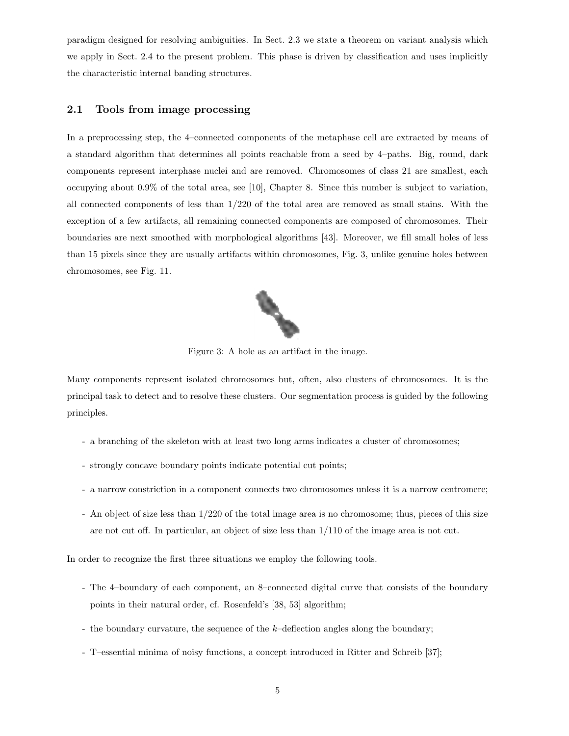paradigm designed for resolving ambiguities. In Sect. 2.3 we state a theorem on variant analysis which we apply in Sect. 2.4 to the present problem. This phase is driven by classification and uses implicitly the characteristic internal banding structures.

### 2.1 Tools from image processing

In a preprocessing step, the 4–connected components of the metaphase cell are extracted by means of a standard algorithm that determines all points reachable from a seed by 4–paths. Big, round, dark components represent interphase nuclei and are removed. Chromosomes of class 21 are smallest, each occupying about 0.9% of the total area, see [10], Chapter 8. Since this number is subject to variation, all connected components of less than 1/220 of the total area are removed as small stains. With the exception of a few artifacts, all remaining connected components are composed of chromosomes. Their boundaries are next smoothed with morphological algorithms [43]. Moreover, we fill small holes of less than 15 pixels since they are usually artifacts within chromosomes, Fig. 3, unlike genuine holes between chromosomes, see Fig. 11.



Figure 3: A hole as an artifact in the image.

Many components represent isolated chromosomes but, often, also clusters of chromosomes. It is the principal task to detect and to resolve these clusters. Our segmentation process is guided by the following principles.

- a branching of the skeleton with at least two long arms indicates a cluster of chromosomes;
- strongly concave boundary points indicate potential cut points;
- a narrow constriction in a component connects two chromosomes unless it is a narrow centromere;
- An object of size less than 1/220 of the total image area is no chromosome; thus, pieces of this size are not cut off. In particular, an object of size less than 1/110 of the image area is not cut.

In order to recognize the first three situations we employ the following tools.

- The 4–boundary of each component, an 8–connected digital curve that consists of the boundary points in their natural order, cf. Rosenfeld's [38, 53] algorithm;
- the boundary curvature, the sequence of the  $k$ -deflection angles along the boundary;
- T–essential minima of noisy functions, a concept introduced in Ritter and Schreib [37];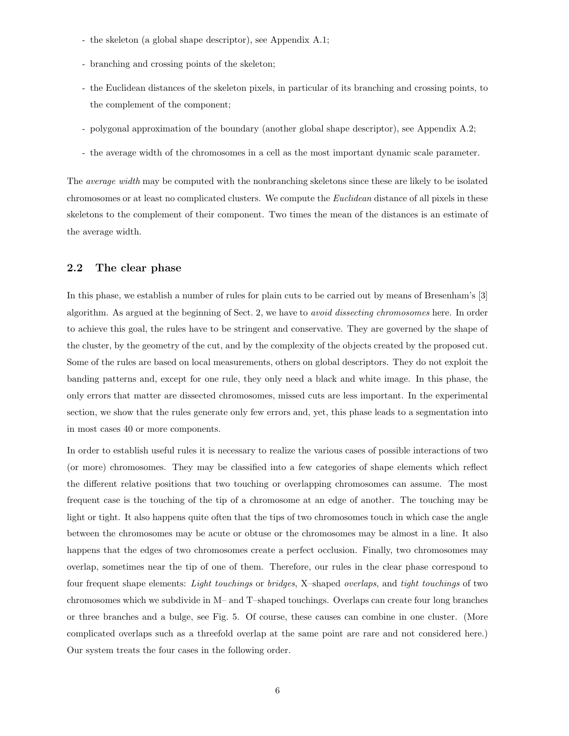- the skeleton (a global shape descriptor), see Appendix A.1;
- branching and crossing points of the skeleton;
- the Euclidean distances of the skeleton pixels, in particular of its branching and crossing points, to the complement of the component;
- polygonal approximation of the boundary (another global shape descriptor), see Appendix A.2;
- the average width of the chromosomes in a cell as the most important dynamic scale parameter.

The average width may be computed with the nonbranching skeletons since these are likely to be isolated chromosomes or at least no complicated clusters. We compute the Euclidean distance of all pixels in these skeletons to the complement of their component. Two times the mean of the distances is an estimate of the average width.

#### 2.2 The clear phase

In this phase, we establish a number of rules for plain cuts to be carried out by means of Bresenham's [3] algorithm. As argued at the beginning of Sect. 2, we have to avoid dissecting chromosomes here. In order to achieve this goal, the rules have to be stringent and conservative. They are governed by the shape of the cluster, by the geometry of the cut, and by the complexity of the objects created by the proposed cut. Some of the rules are based on local measurements, others on global descriptors. They do not exploit the banding patterns and, except for one rule, they only need a black and white image. In this phase, the only errors that matter are dissected chromosomes, missed cuts are less important. In the experimental section, we show that the rules generate only few errors and, yet, this phase leads to a segmentation into in most cases 40 or more components.

In order to establish useful rules it is necessary to realize the various cases of possible interactions of two (or more) chromosomes. They may be classified into a few categories of shape elements which reflect the different relative positions that two touching or overlapping chromosomes can assume. The most frequent case is the touching of the tip of a chromosome at an edge of another. The touching may be light or tight. It also happens quite often that the tips of two chromosomes touch in which case the angle between the chromosomes may be acute or obtuse or the chromosomes may be almost in a line. It also happens that the edges of two chromosomes create a perfect occlusion. Finally, two chromosomes may overlap, sometimes near the tip of one of them. Therefore, our rules in the clear phase correspond to four frequent shape elements: Light touchings or bridges, X–shaped overlaps, and tight touchings of two chromosomes which we subdivide in M– and T–shaped touchings. Overlaps can create four long branches or three branches and a bulge, see Fig. 5. Of course, these causes can combine in one cluster. (More complicated overlaps such as a threefold overlap at the same point are rare and not considered here.) Our system treats the four cases in the following order.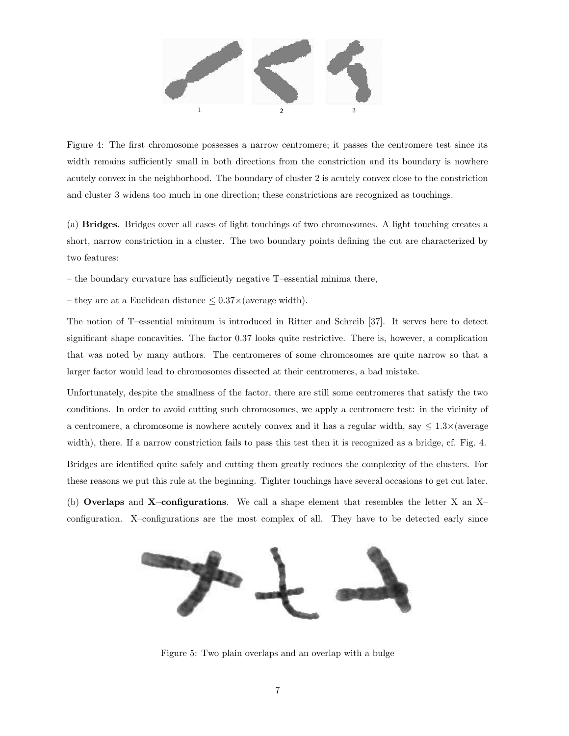

Figure 4: The first chromosome possesses a narrow centromere; it passes the centromere test since its width remains sufficiently small in both directions from the constriction and its boundary is nowhere acutely convex in the neighborhood. The boundary of cluster 2 is acutely convex close to the constriction and cluster 3 widens too much in one direction; these constrictions are recognized as touchings.

(a) Bridges. Bridges cover all cases of light touchings of two chromosomes. A light touching creates a short, narrow constriction in a cluster. The two boundary points defining the cut are characterized by two features:

– the boundary curvature has sufficiently negative T–essential minima there,

– they are at a Euclidean distance  $\leq 0.37 \times$  (average width).

The notion of T–essential minimum is introduced in Ritter and Schreib [37]. It serves here to detect significant shape concavities. The factor 0.37 looks quite restrictive. There is, however, a complication that was noted by many authors. The centromeres of some chromosomes are quite narrow so that a larger factor would lead to chromosomes dissected at their centromeres, a bad mistake.

Unfortunately, despite the smallness of the factor, there are still some centromeres that satisfy the two conditions. In order to avoid cutting such chromosomes, we apply a centromere test: in the vicinity of a centromere, a chromosome is nowhere acutely convex and it has a regular width, say  $\leq 1.3\times$  (average width), there. If a narrow constriction fails to pass this test then it is recognized as a bridge, cf. Fig. 4. Bridges are identified quite safely and cutting them greatly reduces the complexity of the clusters. For these reasons we put this rule at the beginning. Tighter touchings have several occasions to get cut later.

(b) Overlaps and X–configurations. We call a shape element that resembles the letter X an X– configuration. X–configurations are the most complex of all. They have to be detected early since



Figure 5: Two plain overlaps and an overlap with a bulge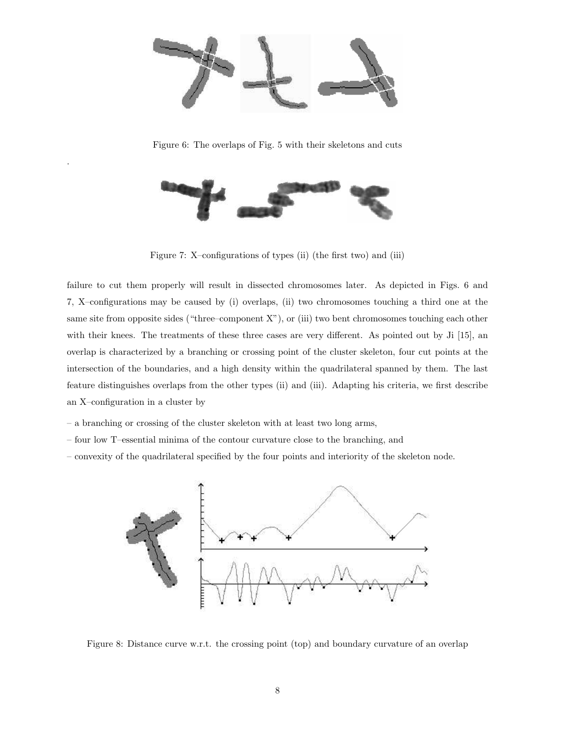

Figure 6: The overlaps of Fig. 5 with their skeletons and cuts



Figure 7: X–configurations of types (ii) (the first two) and (iii)

failure to cut them properly will result in dissected chromosomes later. As depicted in Figs. 6 and 7, X–configurations may be caused by (i) overlaps, (ii) two chromosomes touching a third one at the same site from opposite sides ("three–component X"), or (iii) two bent chromosomes touching each other with their knees. The treatments of these three cases are very different. As pointed out by Ji [15], an overlap is characterized by a branching or crossing point of the cluster skeleton, four cut points at the intersection of the boundaries, and a high density within the quadrilateral spanned by them. The last feature distinguishes overlaps from the other types (ii) and (iii). Adapting his criteria, we first describe an X–configuration in a cluster by

– a branching or crossing of the cluster skeleton with at least two long arms,

.

- four low T–essential minima of the contour curvature close to the branching, and
- convexity of the quadrilateral specified by the four points and interiority of the skeleton node.



Figure 8: Distance curve w.r.t. the crossing point (top) and boundary curvature of an overlap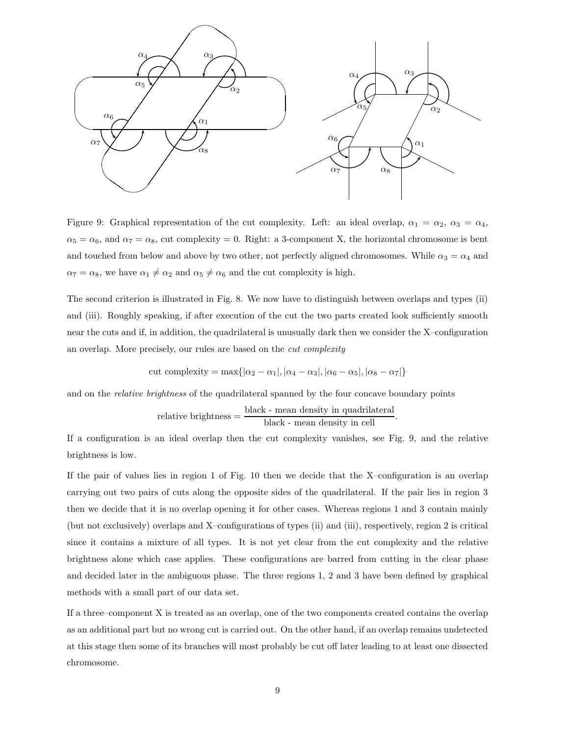

Figure 9: Graphical representation of the cut complexity. Left: an ideal overlap,  $\alpha_1 = \alpha_2$ ,  $\alpha_3 = \alpha_4$ ,  $\alpha_5 = \alpha_6$ , and  $\alpha_7 = \alpha_8$ , cut complexity = 0. Right: a 3-component X, the horizontal chromosome is bent and touched from below and above by two other, not perfectly aligned chromosomes. While  $\alpha_3 = \alpha_4$  and  $\alpha_7 = \alpha_8$ , we have  $\alpha_1 \neq \alpha_2$  and  $\alpha_5 \neq \alpha_6$  and the cut complexity is high.

The second criterion is illustrated in Fig. 8. We now have to distinguish between overlaps and types (ii) and (iii). Roughly speaking, if after execution of the cut the two parts created look sufficiently smooth near the cuts and if, in addition, the quadrilateral is unusually dark then we consider the X–configuration an overlap. More precisely, our rules are based on the cut complexity

cut complexity = max
$$
\{|\alpha_2 - \alpha_1|, |\alpha_4 - \alpha_3|, |\alpha_6 - \alpha_5|, |\alpha_8 - \alpha_7|\}
$$

and on the *relative brightness* of the quadrilateral spanned by the four concave boundary points

$$
relative brightness = \frac{black - mean density in quadrilateral}{black - mean density in cell}.
$$

If a configuration is an ideal overlap then the cut complexity vanishes, see Fig. 9, and the relative brightness is low.

If the pair of values lies in region 1 of Fig. 10 then we decide that the X–configuration is an overlap carrying out two pairs of cuts along the opposite sides of the quadrilateral. If the pair lies in region 3 then we decide that it is no overlap opening it for other cases. Whereas regions 1 and 3 contain mainly (but not exclusively) overlaps and X–configurations of types (ii) and (iii), respectively, region 2 is critical since it contains a mixture of all types. It is not yet clear from the cut complexity and the relative brightness alone which case applies. These configurations are barred from cutting in the clear phase and decided later in the ambiguous phase. The three regions 1, 2 and 3 have been defined by graphical methods with a small part of our data set.

If a three–component X is treated as an overlap, one of the two components created contains the overlap as an additional part but no wrong cut is carried out. On the other hand, if an overlap remains undetected at this stage then some of its branches will most probably be cut off later leading to at least one dissected chromosome.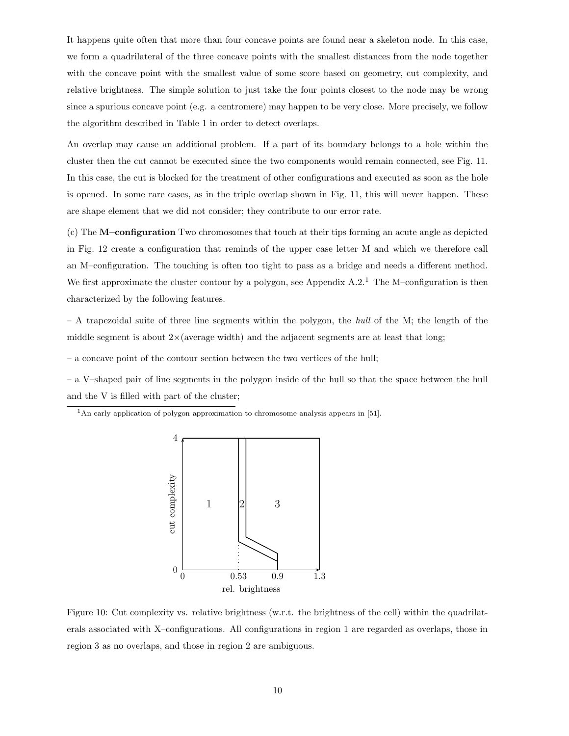It happens quite often that more than four concave points are found near a skeleton node. In this case, we form a quadrilateral of the three concave points with the smallest distances from the node together with the concave point with the smallest value of some score based on geometry, cut complexity, and relative brightness. The simple solution to just take the four points closest to the node may be wrong since a spurious concave point (e.g. a centromere) may happen to be very close. More precisely, we follow the algorithm described in Table 1 in order to detect overlaps.

An overlap may cause an additional problem. If a part of its boundary belongs to a hole within the cluster then the cut cannot be executed since the two components would remain connected, see Fig. 11. In this case, the cut is blocked for the treatment of other configurations and executed as soon as the hole is opened. In some rare cases, as in the triple overlap shown in Fig. 11, this will never happen. These are shape element that we did not consider; they contribute to our error rate.

(c) The M–configuration Two chromosomes that touch at their tips forming an acute angle as depicted in Fig. 12 create a configuration that reminds of the upper case letter M and which we therefore call an M–configuration. The touching is often too tight to pass as a bridge and needs a different method. We first approximate the cluster contour by a polygon, see Appendix  $A.2<sup>1</sup>$ . The M–configuration is then characterized by the following features.

– A trapezoidal suite of three line segments within the polygon, the hull of the M; the length of the middle segment is about  $2\times$  (average width) and the adjacent segments are at least that long;

– a concave point of the contour section between the two vertices of the hull;

– a V–shaped pair of line segments in the polygon inside of the hull so that the space between the hull and the V is filled with part of the cluster;

 $1<sup>1</sup>$ An early application of polygon approximation to chromosome analysis appears in [51].



Figure 10: Cut complexity vs. relative brightness (w.r.t. the brightness of the cell) within the quadrilaterals associated with X–configurations. All configurations in region 1 are regarded as overlaps, those in region 3 as no overlaps, and those in region 2 are ambiguous.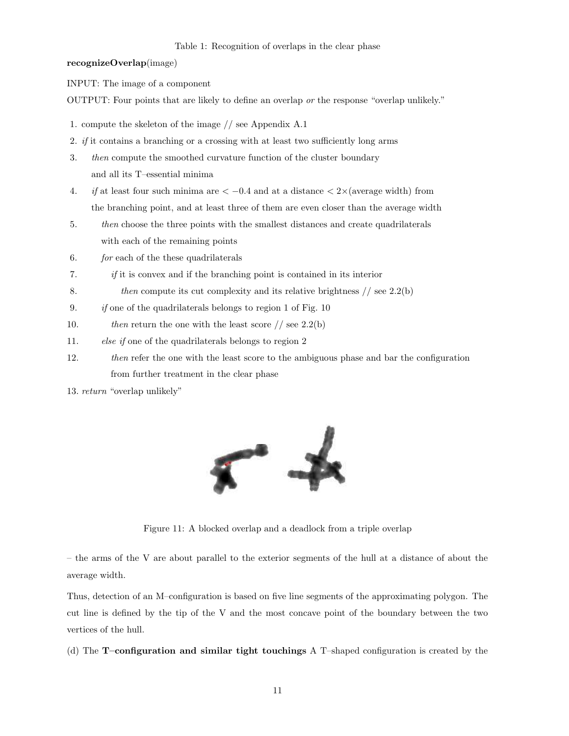#### Table 1: Recognition of overlaps in the clear phase

#### recognizeOverlap(image)

INPUT: The image of a component

OUTPUT: Four points that are likely to define an overlap or the response "overlap unlikely."

- 1. compute the skeleton of the image // see Appendix A.1
- 2. if it contains a branching or a crossing with at least two sufficiently long arms
- 3. then compute the smoothed curvature function of the cluster boundary and all its T–essential minima
- 4. if at least four such minima are  $\langle -0.4 \rangle$  and at a distance  $\langle 2 \times (\text{average width}) \rangle$  from the branching point, and at least three of them are even closer than the average width
- 5. then choose the three points with the smallest distances and create quadrilaterals with each of the remaining points
- 6. for each of the these quadrilaterals
- 7. if it is convex and if the branching point is contained in its interior
- 8. then compute its cut complexity and its relative brightness  $//$  see 2.2(b)
- 9.  $if$  one of the quadrilaterals belongs to region 1 of Fig. 10
- 10. then return the one with the least score  $//$  see 2.2(b)
- 11. else if one of the quadrilaterals belongs to region 2
- 12. then refer the one with the least score to the ambiguous phase and bar the configuration from further treatment in the clear phase
- 13. return "overlap unlikely"



Figure 11: A blocked overlap and a deadlock from a triple overlap

– the arms of the V are about parallel to the exterior segments of the hull at a distance of about the average width.

Thus, detection of an M–configuration is based on five line segments of the approximating polygon. The cut line is defined by the tip of the V and the most concave point of the boundary between the two vertices of the hull.

(d) The T–configuration and similar tight touchings A T–shaped configuration is created by the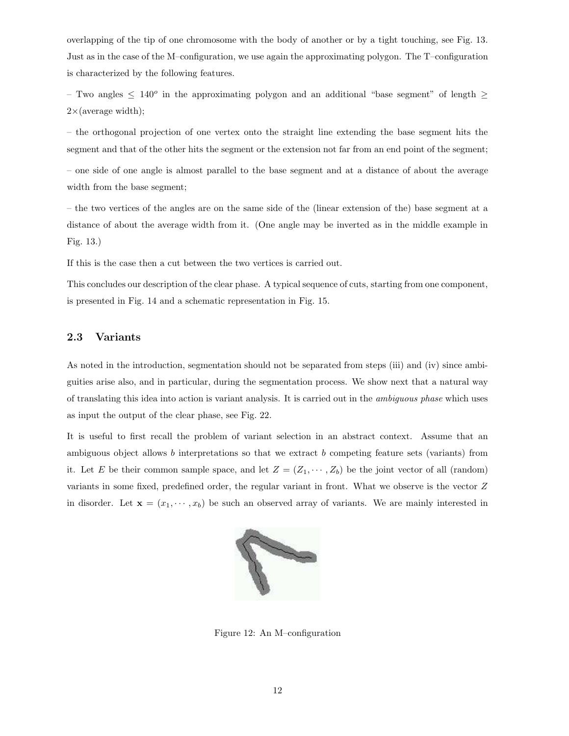overlapping of the tip of one chromosome with the body of another or by a tight touching, see Fig. 13. Just as in the case of the M–configuration, we use again the approximating polygon. The T–configuration is characterized by the following features.

– Two angles  $\leq 140^{\circ}$  in the approximating polygon and an additional "base segment" of length  $\geq$  $2\times$  (average width);

– the orthogonal projection of one vertex onto the straight line extending the base segment hits the segment and that of the other hits the segment or the extension not far from an end point of the segment;

– one side of one angle is almost parallel to the base segment and at a distance of about the average width from the base segment;

– the two vertices of the angles are on the same side of the (linear extension of the) base segment at a distance of about the average width from it. (One angle may be inverted as in the middle example in Fig. 13.)

If this is the case then a cut between the two vertices is carried out.

This concludes our description of the clear phase. A typical sequence of cuts, starting from one component, is presented in Fig. 14 and a schematic representation in Fig. 15.

### 2.3 Variants

As noted in the introduction, segmentation should not be separated from steps (iii) and (iv) since ambiguities arise also, and in particular, during the segmentation process. We show next that a natural way of translating this idea into action is variant analysis. It is carried out in the ambiguous phase which uses as input the output of the clear phase, see Fig. 22.

It is useful to first recall the problem of variant selection in an abstract context. Assume that an ambiguous object allows b interpretations so that we extract b competing feature sets (variants) from it. Let E be their common sample space, and let  $Z = (Z_1, \dots, Z_b)$  be the joint vector of all (random) variants in some fixed, predefined order, the regular variant in front. What we observe is the vector Z in disorder. Let  $\mathbf{x} = (x_1, \dots, x_b)$  be such an observed array of variants. We are mainly interested in



Figure 12: An M–configuration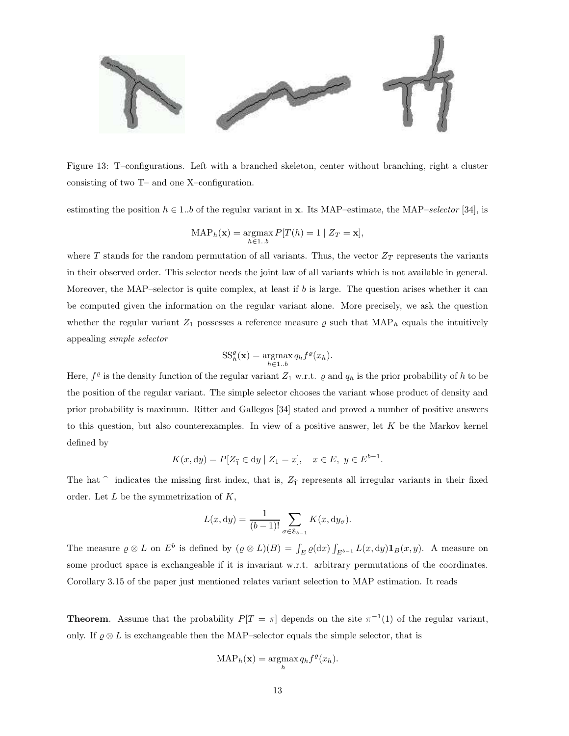

Figure 13: T–configurations. Left with a branched skeleton, center without branching, right a cluster consisting of two T– and one X–configuration.

estimating the position  $h \in 1..b$  of the regular variant in **x**. Its MAP–estimate, the MAP–selector [34], is

$$
\text{MAP}_h(\mathbf{x}) = \operatorname*{argmax}_{h \in 1..b} P[T(h) = 1 \mid Z_T = \mathbf{x}],
$$

where T stands for the random permutation of all variants. Thus, the vector  $Z_T$  represents the variants in their observed order. This selector needs the joint law of all variants which is not available in general. Moreover, the MAP–selector is quite complex, at least if b is large. The question arises whether it can be computed given the information on the regular variant alone. More precisely, we ask the question whether the regular variant  $Z_1$  possesses a reference measure  $\varrho$  such that MAP<sub>h</sub> equals the intuitively appealing simple selector

$$
SS_h^{\varrho}(\mathbf{x}) = \underset{h \in 1..b}{\operatorname{argmax}} q_h f^{\varrho}(x_h).
$$

Here,  $f^{\varrho}$  is the density function of the regular variant  $Z_1$  w.r.t.  $\varrho$  and  $q_h$  is the prior probability of h to be the position of the regular variant. The simple selector chooses the variant whose product of density and prior probability is maximum. Ritter and Gallegos [34] stated and proved a number of positive answers to this question, but also counterexamples. In view of a positive answer, let  $K$  be the Markov kernel defined by

$$
K(x, dy) = P[Z_{\hat{1}} \in dy \mid Z_1 = x], \quad x \in E, \ y \in E^{b-1}.
$$

The hat  $\hat{ }$  indicates the missing first index, that is,  $Z_{\hat{1}}$  represents all irregular variants in their fixed order. Let  $L$  be the symmetrization of  $K$ ,

$$
L(x, dy) = \frac{1}{(b-1)!} \sum_{\sigma \in \mathcal{S}_{b-1}} K(x, dy_{\sigma}).
$$

The measure  $\varrho \otimes L$  on  $E^b$  is defined by  $(\varrho \otimes L)(B) = \int_E \varrho(\mathrm{d}x) \int_{E^{b-1}} L(x, \mathrm{d}y) \mathbf{1}_B(x, y)$ . A measure on some product space is exchangeable if it is invariant w.r.t. arbitrary permutations of the coordinates. Corollary 3.15 of the paper just mentioned relates variant selection to MAP estimation. It reads

**Theorem.** Assume that the probability  $P[T = \pi]$  depends on the site  $\pi^{-1}(1)$  of the regular variant, only. If  $\varrho \otimes L$  is exchangeable then the MAP–selector equals the simple selector, that is

$$
\text{MAP}_h(\mathbf{x}) = \operatorname*{argmax}_h q_h f^{\varrho}(x_h).
$$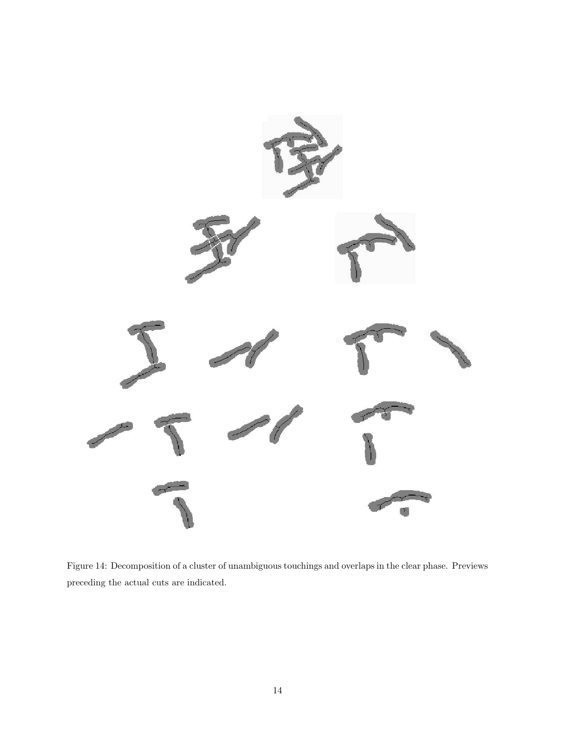

Figure 14: Decomposition of a cluster of unambiguous touchings and overlaps in the clear phase. Previews preceding the actual cuts are indicated.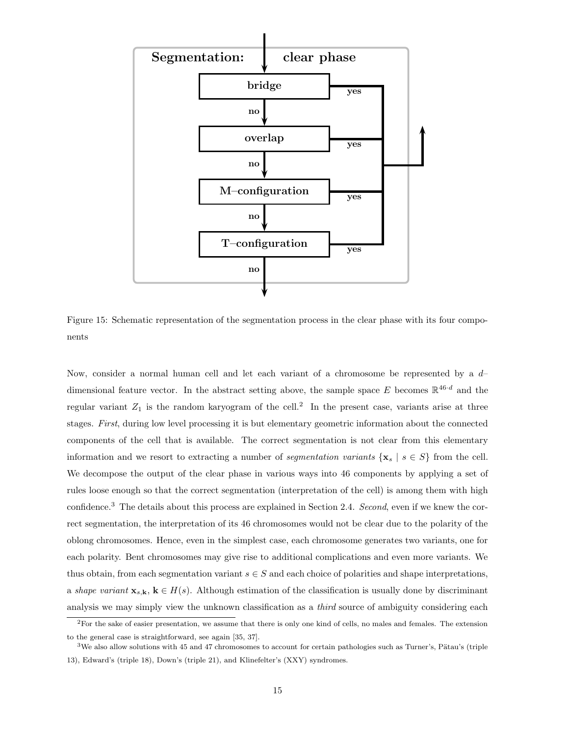

Figure 15: Schematic representation of the segmentation process in the clear phase with its four components

Now, consider a normal human cell and let each variant of a chromosome be represented by a  $d$ dimensional feature vector. In the abstract setting above, the sample space E becomes  $\mathbb{R}^{46 \cdot d}$  and the regular variant  $Z_1$  is the random karyogram of the cell.<sup>2</sup> In the present case, variants arise at three stages. First, during low level processing it is but elementary geometric information about the connected components of the cell that is available. The correct segmentation is not clear from this elementary information and we resort to extracting a number of *segmentation variants* { $\mathbf{x}_s | s \in S$ } from the cell. We decompose the output of the clear phase in various ways into 46 components by applying a set of rules loose enough so that the correct segmentation (interpretation of the cell) is among them with high confidence.<sup>3</sup> The details about this process are explained in Section 2.4. Second, even if we knew the correct segmentation, the interpretation of its 46 chromosomes would not be clear due to the polarity of the oblong chromosomes. Hence, even in the simplest case, each chromosome generates two variants, one for each polarity. Bent chromosomes may give rise to additional complications and even more variants. We thus obtain, from each segmentation variant  $s \in S$  and each choice of polarities and shape interpretations, a shape variant  $\mathbf{x}_{s,k}$ ,  $k \in H(s)$ . Although estimation of the classification is usually done by discriminant analysis we may simply view the unknown classification as a *third* source of ambiguity considering each

 ${}^{2}$ For the sake of easier presentation, we assume that there is only one kind of cells, no males and females. The extension to the general case is straightforward, see again [35, 37].

 $3$ We also allow solutions with 45 and 47 chromosomes to account for certain pathologies such as Turner's, Pätau's (triple 13), Edward's (triple 18), Down's (triple 21), and Klinefelter's (XXY) syndromes.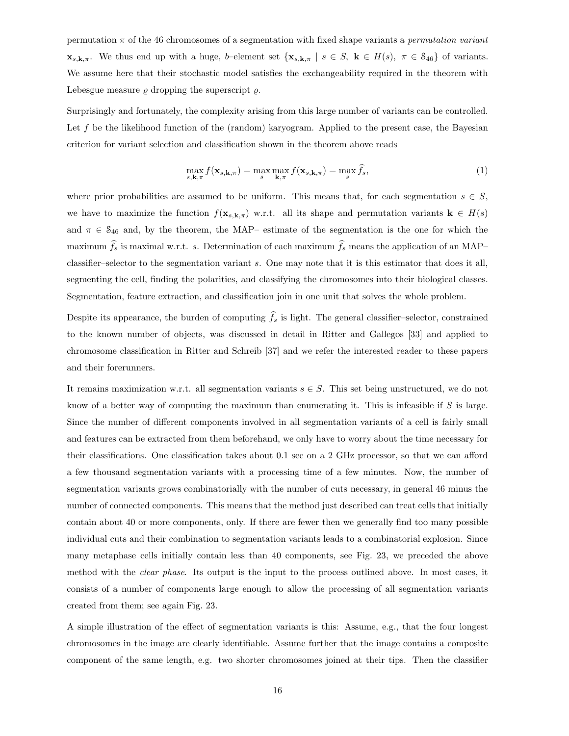permutation  $\pi$  of the 46 chromosomes of a segmentation with fixed shape variants a *permutation variant*  $\mathbf{x}_{s,k,\pi}$ . We thus end up with a huge, b–element set  $\{\mathbf{x}_{s,k,\pi} \mid s \in S, \mathbf{k} \in H(s), \pi \in S_{46}\}$  of variants. We assume here that their stochastic model satisfies the exchangeability required in the theorem with Lebesgue measure  $\rho$  dropping the superscript  $\rho$ .

Surprisingly and fortunately, the complexity arising from this large number of variants can be controlled. Let  $f$  be the likelihood function of the (random) karyogram. Applied to the present case, the Bayesian criterion for variant selection and classification shown in the theorem above reads

$$
\max_{s,\mathbf{k},\pi} f(\mathbf{x}_{s,\mathbf{k},\pi}) = \max_{s} \max_{\mathbf{k},\pi} f(\mathbf{x}_{s,\mathbf{k},\pi}) = \max_{s} \hat{f}_s,\tag{1}
$$

where prior probabilities are assumed to be uniform. This means that, for each segmentation  $s \in S$ , we have to maximize the function  $f(\mathbf{x}_{s,k,\pi})$  w.r.t. all its shape and permutation variants  $\mathbf{k} \in H(s)$ and  $\pi \in S_{46}$  and, by the theorem, the MAP– estimate of the segmentation is the one for which the maximum  $\hat{f}_s$  is maximal w.r.t. s. Determination of each maximum  $\hat{f}_s$  means the application of an MAP– classifier–selector to the segmentation variant s. One may note that it is this estimator that does it all, segmenting the cell, finding the polarities, and classifying the chromosomes into their biological classes. Segmentation, feature extraction, and classification join in one unit that solves the whole problem.

Despite its appearance, the burden of computing  $\hat{f}_s$  is light. The general classifier–selector, constrained to the known number of objects, was discussed in detail in Ritter and Gallegos [33] and applied to chromosome classification in Ritter and Schreib [37] and we refer the interested reader to these papers and their forerunners.

It remains maximization w.r.t. all segmentation variants  $s \in S$ . This set being unstructured, we do not know of a better way of computing the maximum than enumerating it. This is infeasible if  $S$  is large. Since the number of different components involved in all segmentation variants of a cell is fairly small and features can be extracted from them beforehand, we only have to worry about the time necessary for their classifications. One classification takes about 0.1 sec on a 2 GHz processor, so that we can afford a few thousand segmentation variants with a processing time of a few minutes. Now, the number of segmentation variants grows combinatorially with the number of cuts necessary, in general 46 minus the number of connected components. This means that the method just described can treat cells that initially contain about 40 or more components, only. If there are fewer then we generally find too many possible individual cuts and their combination to segmentation variants leads to a combinatorial explosion. Since many metaphase cells initially contain less than 40 components, see Fig. 23, we preceded the above method with the clear phase. Its output is the input to the process outlined above. In most cases, it consists of a number of components large enough to allow the processing of all segmentation variants created from them; see again Fig. 23.

A simple illustration of the effect of segmentation variants is this: Assume, e.g., that the four longest chromosomes in the image are clearly identifiable. Assume further that the image contains a composite component of the same length, e.g. two shorter chromosomes joined at their tips. Then the classifier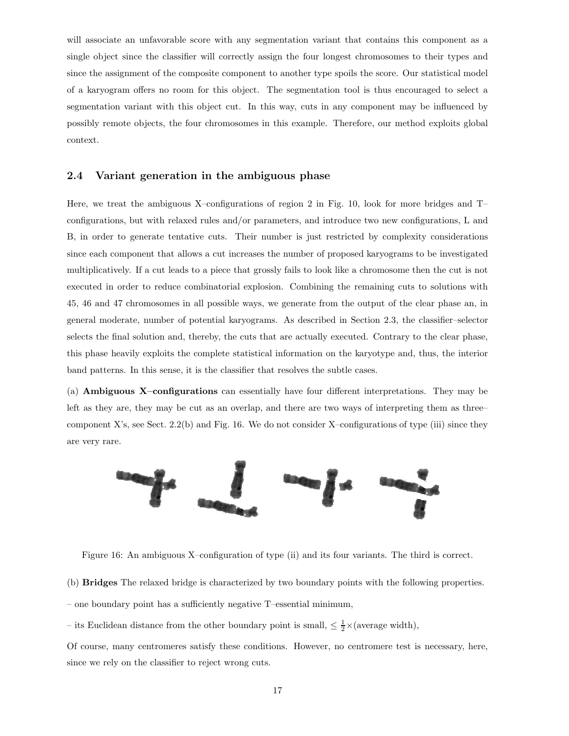will associate an unfavorable score with any segmentation variant that contains this component as a single object since the classifier will correctly assign the four longest chromosomes to their types and since the assignment of the composite component to another type spoils the score. Our statistical model of a karyogram offers no room for this object. The segmentation tool is thus encouraged to select a segmentation variant with this object cut. In this way, cuts in any component may be influenced by possibly remote objects, the four chromosomes in this example. Therefore, our method exploits global context.

### 2.4 Variant generation in the ambiguous phase

Here, we treat the ambiguous X–configurations of region 2 in Fig. 10, look for more bridges and T– configurations, but with relaxed rules and/or parameters, and introduce two new configurations, L and B, in order to generate tentative cuts. Their number is just restricted by complexity considerations since each component that allows a cut increases the number of proposed karyograms to be investigated multiplicatively. If a cut leads to a piece that grossly fails to look like a chromosome then the cut is not executed in order to reduce combinatorial explosion. Combining the remaining cuts to solutions with 45, 46 and 47 chromosomes in all possible ways, we generate from the output of the clear phase an, in general moderate, number of potential karyograms. As described in Section 2.3, the classifier–selector selects the final solution and, thereby, the cuts that are actually executed. Contrary to the clear phase, this phase heavily exploits the complete statistical information on the karyotype and, thus, the interior band patterns. In this sense, it is the classifier that resolves the subtle cases.

(a) Ambiguous X–configurations can essentially have four different interpretations. They may be left as they are, they may be cut as an overlap, and there are two ways of interpreting them as three– component X's, see Sect.  $2.2(b)$  and Fig. 16. We do not consider X-configurations of type (iii) since they are very rare.



Figure 16: An ambiguous X–configuration of type (ii) and its four variants. The third is correct.

(b) Bridges The relaxed bridge is characterized by two boundary points with the following properties.

– one boundary point has a sufficiently negative T–essential minimum,

– its Euclidean distance from the other boundary point is small,  $\leq \frac{1}{2} \times (\text{average width})$ ,

Of course, many centromeres satisfy these conditions. However, no centromere test is necessary, here, since we rely on the classifier to reject wrong cuts.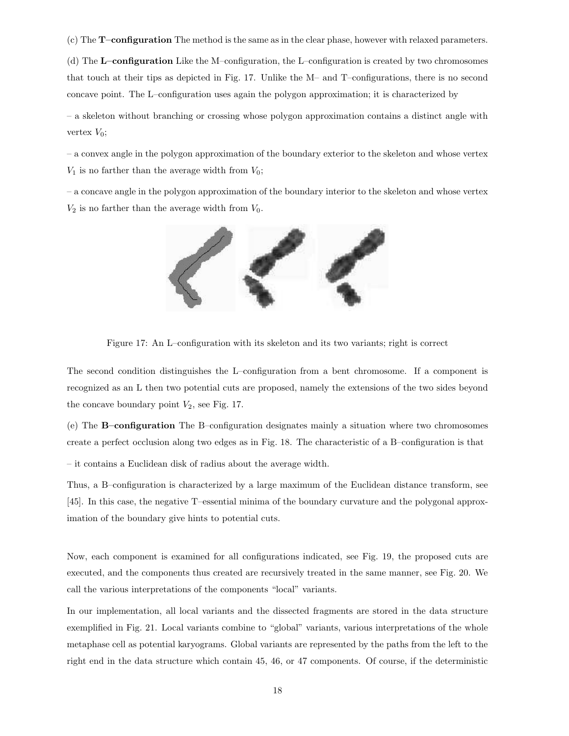(c) The T–configuration The method is the same as in the clear phase, however with relaxed parameters.

(d) The L–configuration Like the M–configuration, the L–configuration is created by two chromosomes that touch at their tips as depicted in Fig. 17. Unlike the M– and T–configurations, there is no second concave point. The L–configuration uses again the polygon approximation; it is characterized by

– a skeleton without branching or crossing whose polygon approximation contains a distinct angle with vertex  $V_0$ ;

– a convex angle in the polygon approximation of the boundary exterior to the skeleton and whose vertex  $V_1$  is no farther than the average width from  $V_0$ ;

– a concave angle in the polygon approximation of the boundary interior to the skeleton and whose vertex  $V_2$  is no farther than the average width from  $V_0$ .



Figure 17: An L–configuration with its skeleton and its two variants; right is correct

The second condition distinguishes the L–configuration from a bent chromosome. If a component is recognized as an L then two potential cuts are proposed, namely the extensions of the two sides beyond the concave boundary point  $V_2$ , see Fig. 17.

(e) The B–configuration The B–configuration designates mainly a situation where two chromosomes create a perfect occlusion along two edges as in Fig. 18. The characteristic of a B–configuration is that

– it contains a Euclidean disk of radius about the average width.

Thus, a B–configuration is characterized by a large maximum of the Euclidean distance transform, see [45]. In this case, the negative T–essential minima of the boundary curvature and the polygonal approximation of the boundary give hints to potential cuts.

Now, each component is examined for all configurations indicated, see Fig. 19, the proposed cuts are executed, and the components thus created are recursively treated in the same manner, see Fig. 20. We call the various interpretations of the components "local" variants.

In our implementation, all local variants and the dissected fragments are stored in the data structure exemplified in Fig. 21. Local variants combine to "global" variants, various interpretations of the whole metaphase cell as potential karyograms. Global variants are represented by the paths from the left to the right end in the data structure which contain 45, 46, or 47 components. Of course, if the deterministic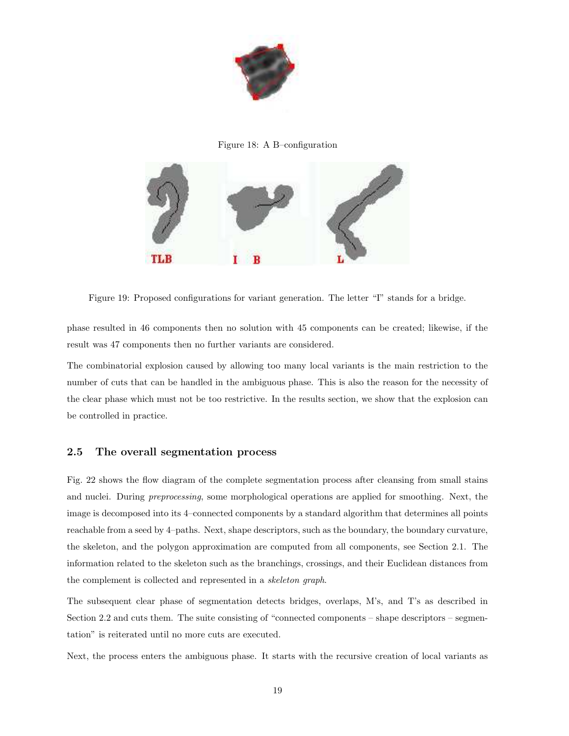

Figure 18: A B–configuration



Figure 19: Proposed configurations for variant generation. The letter "I" stands for a bridge.

phase resulted in 46 components then no solution with 45 components can be created; likewise, if the result was 47 components then no further variants are considered.

The combinatorial explosion caused by allowing too many local variants is the main restriction to the number of cuts that can be handled in the ambiguous phase. This is also the reason for the necessity of the clear phase which must not be too restrictive. In the results section, we show that the explosion can be controlled in practice.

### 2.5 The overall segmentation process

Fig. 22 shows the flow diagram of the complete segmentation process after cleansing from small stains and nuclei. During preprocessing, some morphological operations are applied for smoothing. Next, the image is decomposed into its 4–connected components by a standard algorithm that determines all points reachable from a seed by 4–paths. Next, shape descriptors, such as the boundary, the boundary curvature, the skeleton, and the polygon approximation are computed from all components, see Section 2.1. The information related to the skeleton such as the branchings, crossings, and their Euclidean distances from the complement is collected and represented in a skeleton graph.

The subsequent clear phase of segmentation detects bridges, overlaps, M's, and T's as described in Section 2.2 and cuts them. The suite consisting of "connected components – shape descriptors – segmentation" is reiterated until no more cuts are executed.

Next, the process enters the ambiguous phase. It starts with the recursive creation of local variants as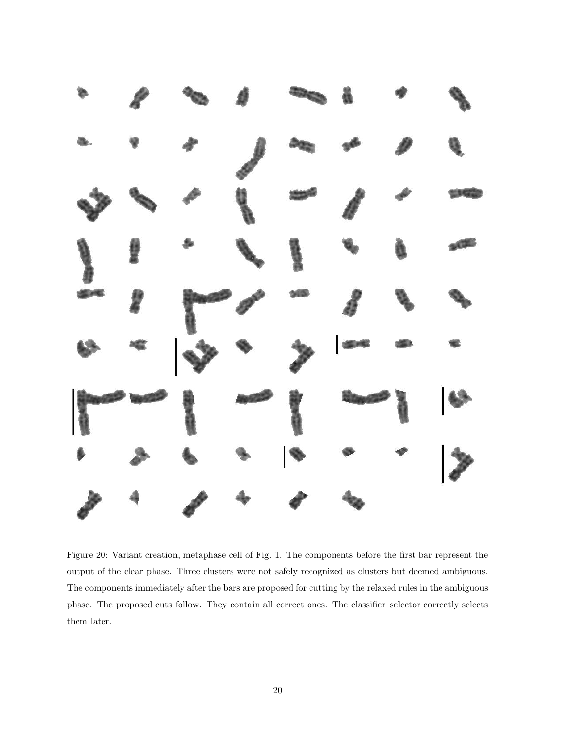

Figure 20: Variant creation, metaphase cell of Fig. 1. The components before the first bar represent the output of the clear phase. Three clusters were not safely recognized as clusters but deemed ambiguous. The components immediately after the bars are proposed for cutting by the relaxed rules in the ambiguous phase. The proposed cuts follow. They contain all correct ones. The classifier–selector correctly selects them later.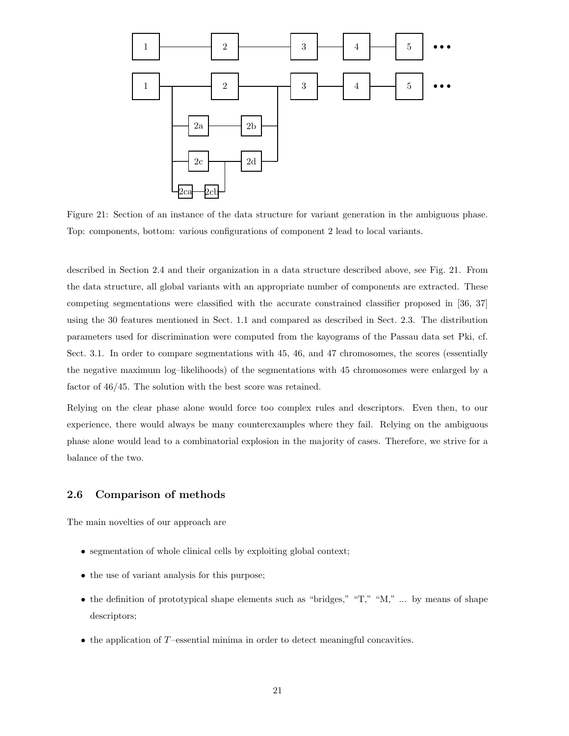

Figure 21: Section of an instance of the data structure for variant generation in the ambiguous phase. Top: components, bottom: various configurations of component 2 lead to local variants.

described in Section 2.4 and their organization in a data structure described above, see Fig. 21. From the data structure, all global variants with an appropriate number of components are extracted. These competing segmentations were classified with the accurate constrained classifier proposed in [36, 37] using the 30 features mentioned in Sect. 1.1 and compared as described in Sect. 2.3. The distribution parameters used for discrimination were computed from the kayograms of the Passau data set Pki, cf. Sect. 3.1. In order to compare segmentations with 45, 46, and 47 chromosomes, the scores (essentially the negative maximum log–likelihoods) of the segmentations with 45 chromosomes were enlarged by a factor of 46/45. The solution with the best score was retained.

Relying on the clear phase alone would force too complex rules and descriptors. Even then, to our experience, there would always be many counterexamples where they fail. Relying on the ambiguous phase alone would lead to a combinatorial explosion in the majority of cases. Therefore, we strive for a balance of the two.

### 2.6 Comparison of methods

The main novelties of our approach are

- segmentation of whole clinical cells by exploiting global context;
- the use of variant analysis for this purpose;
- the definition of prototypical shape elements such as "bridges," "T," "M," ... by means of shape descriptors;
- the application of T–essential minima in order to detect meaningful concavities.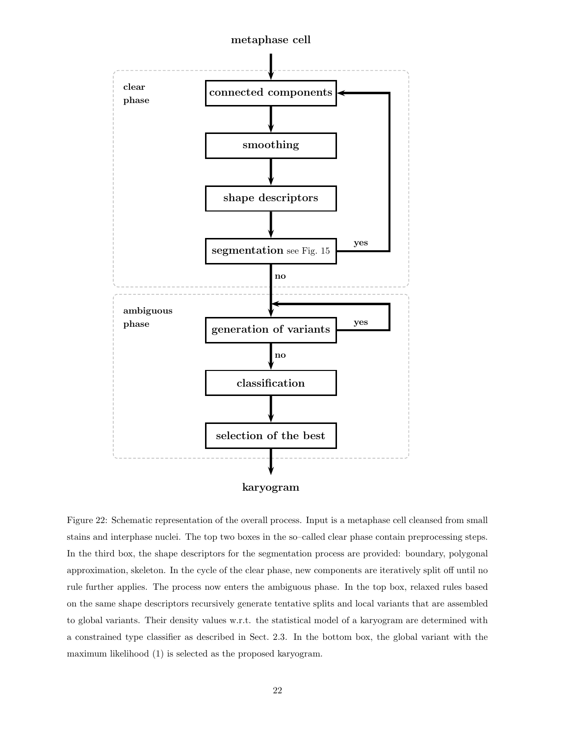

Figure 22: Schematic representation of the overall process. Input is a metaphase cell cleansed from small stains and interphase nuclei. The top two boxes in the so–called clear phase contain preprocessing steps. In the third box, the shape descriptors for the segmentation process are provided: boundary, polygonal approximation, skeleton. In the cycle of the clear phase, new components are iteratively split off until no rule further applies. The process now enters the ambiguous phase. In the top box, relaxed rules based on the same shape descriptors recursively generate tentative splits and local variants that are assembled to global variants. Their density values w.r.t. the statistical model of a karyogram are determined with a constrained type classifier as described in Sect. 2.3. In the bottom box, the global variant with the maximum likelihood (1) is selected as the proposed karyogram.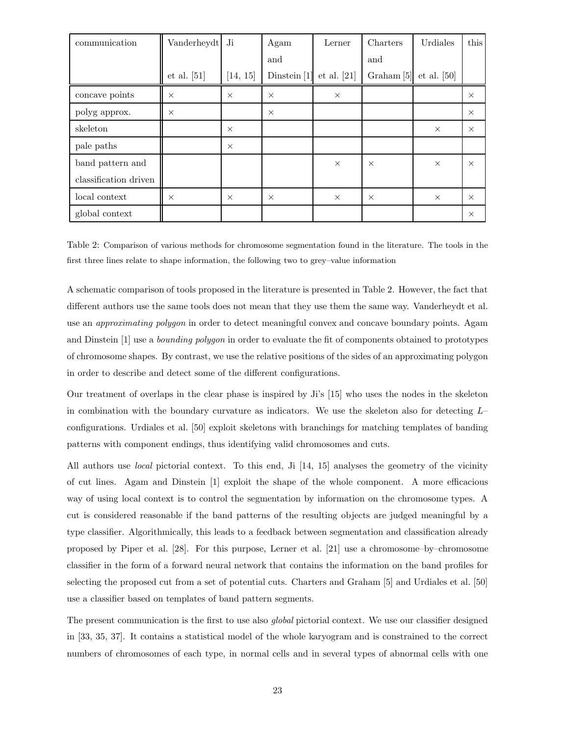| communication         | Vanderheydt Ji |          | Agam           | Lerner        | Charters              | Urdiales      | this     |
|-----------------------|----------------|----------|----------------|---------------|-----------------------|---------------|----------|
|                       |                |          | and            |               | and                   |               |          |
|                       | et al. $[51]$  | [14, 15] | Dinstein $[1]$ | et al. $[21]$ | Graham <sup>[5]</sup> | $et$ al. [50] |          |
| concave points        | $\times$       | $\times$ | $\times$       | $\times$      |                       |               | $\times$ |
| polyg approx.         | $\times$       |          | $\times$       |               |                       |               | $\times$ |
| skeleton              |                | $\times$ |                |               |                       | $\times$      | $\times$ |
| pale paths            |                | $\times$ |                |               |                       |               |          |
| band pattern and      |                |          |                | $\times$      | $\times$              | $\times$      | $\times$ |
| classification driven |                |          |                |               |                       |               |          |
| local context         | $\times$       | $\times$ | $\times$       | $\times$      | $\times$              | $\times$      | $\times$ |
| global context        |                |          |                |               |                       |               | $\times$ |

Table 2: Comparison of various methods for chromosome segmentation found in the literature. The tools in the first three lines relate to shape information, the following two to grey–value information

A schematic comparison of tools proposed in the literature is presented in Table 2. However, the fact that different authors use the same tools does not mean that they use them the same way. Vanderheydt et al. use an approximating polygon in order to detect meaningful convex and concave boundary points. Agam and Dinstein [1] use a bounding polygon in order to evaluate the fit of components obtained to prototypes of chromosome shapes. By contrast, we use the relative positions of the sides of an approximating polygon in order to describe and detect some of the different configurations.

Our treatment of overlaps in the clear phase is inspired by Ji's [15] who uses the nodes in the skeleton in combination with the boundary curvature as indicators. We use the skeleton also for detecting  $L$ configurations. Urdiales et al. [50] exploit skeletons with branchings for matching templates of banding patterns with component endings, thus identifying valid chromosomes and cuts.

All authors use local pictorial context. To this end, Ji [14, 15] analyses the geometry of the vicinity of cut lines. Agam and Dinstein [1] exploit the shape of the whole component. A more efficacious way of using local context is to control the segmentation by information on the chromosome types. A cut is considered reasonable if the band patterns of the resulting objects are judged meaningful by a type classifier. Algorithmically, this leads to a feedback between segmentation and classification already proposed by Piper et al. [28]. For this purpose, Lerner et al. [21] use a chromosome–by–chromosome classifier in the form of a forward neural network that contains the information on the band profiles for selecting the proposed cut from a set of potential cuts. Charters and Graham [5] and Urdiales et al. [50] use a classifier based on templates of band pattern segments.

The present communication is the first to use also *global* pictorial context. We use our classifier designed in [33, 35, 37]. It contains a statistical model of the whole karyogram and is constrained to the correct numbers of chromosomes of each type, in normal cells and in several types of abnormal cells with one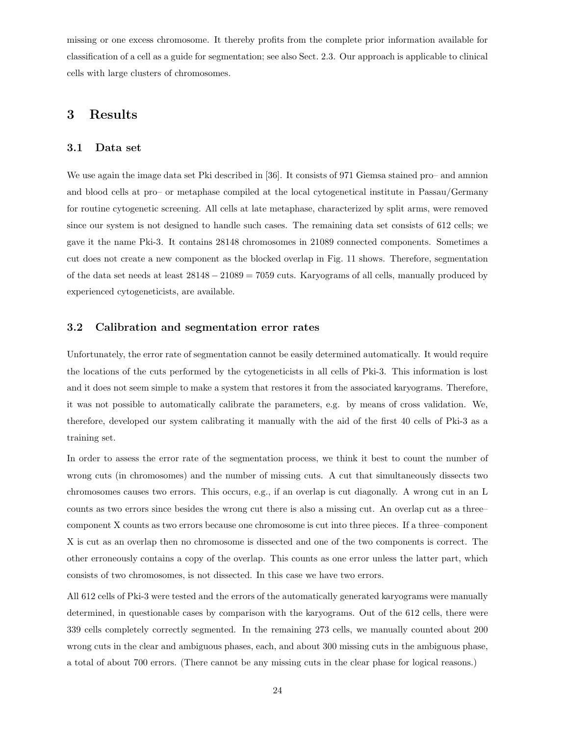missing or one excess chromosome. It thereby profits from the complete prior information available for classification of a cell as a guide for segmentation; see also Sect. 2.3. Our approach is applicable to clinical cells with large clusters of chromosomes.

### 3 Results

### 3.1 Data set

We use again the image data set Pki described in [36]. It consists of 971 Giemsa stained pro– and amnion and blood cells at pro– or metaphase compiled at the local cytogenetical institute in Passau/Germany for routine cytogenetic screening. All cells at late metaphase, characterized by split arms, were removed since our system is not designed to handle such cases. The remaining data set consists of 612 cells; we gave it the name Pki-3. It contains 28148 chromosomes in 21089 connected components. Sometimes a cut does not create a new component as the blocked overlap in Fig. 11 shows. Therefore, segmentation of the data set needs at least  $28148 - 21089 = 7059$  cuts. Karyograms of all cells, manually produced by experienced cytogeneticists, are available.

### 3.2 Calibration and segmentation error rates

Unfortunately, the error rate of segmentation cannot be easily determined automatically. It would require the locations of the cuts performed by the cytogeneticists in all cells of Pki-3. This information is lost and it does not seem simple to make a system that restores it from the associated karyograms. Therefore, it was not possible to automatically calibrate the parameters, e.g. by means of cross validation. We, therefore, developed our system calibrating it manually with the aid of the first 40 cells of Pki-3 as a training set.

In order to assess the error rate of the segmentation process, we think it best to count the number of wrong cuts (in chromosomes) and the number of missing cuts. A cut that simultaneously dissects two chromosomes causes two errors. This occurs, e.g., if an overlap is cut diagonally. A wrong cut in an L counts as two errors since besides the wrong cut there is also a missing cut. An overlap cut as a three– component X counts as two errors because one chromosome is cut into three pieces. If a three–component X is cut as an overlap then no chromosome is dissected and one of the two components is correct. The other erroneously contains a copy of the overlap. This counts as one error unless the latter part, which consists of two chromosomes, is not dissected. In this case we have two errors.

All 612 cells of Pki-3 were tested and the errors of the automatically generated karyograms were manually determined, in questionable cases by comparison with the karyograms. Out of the 612 cells, there were 339 cells completely correctly segmented. In the remaining 273 cells, we manually counted about 200 wrong cuts in the clear and ambiguous phases, each, and about 300 missing cuts in the ambiguous phase, a total of about 700 errors. (There cannot be any missing cuts in the clear phase for logical reasons.)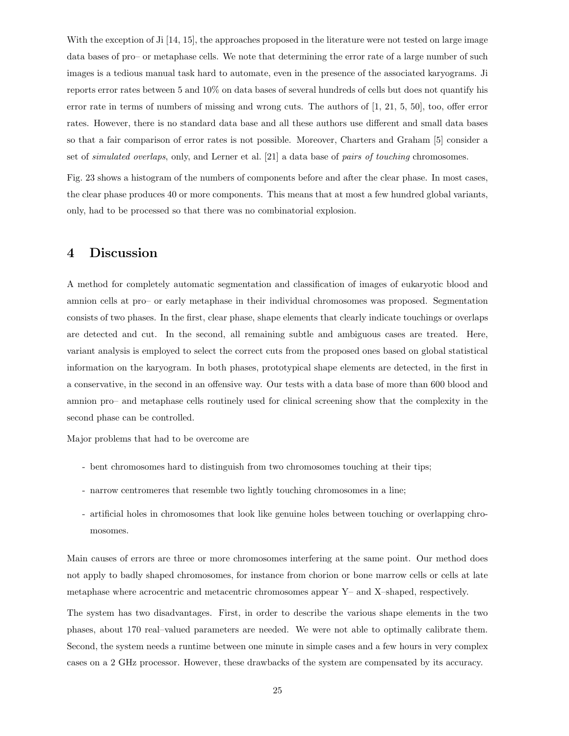With the exception of Ji [14, 15], the approaches proposed in the literature were not tested on large image data bases of pro– or metaphase cells. We note that determining the error rate of a large number of such images is a tedious manual task hard to automate, even in the presence of the associated karyograms. Ji reports error rates between 5 and 10% on data bases of several hundreds of cells but does not quantify his error rate in terms of numbers of missing and wrong cuts. The authors of [1, 21, 5, 50], too, offer error rates. However, there is no standard data base and all these authors use different and small data bases so that a fair comparison of error rates is not possible. Moreover, Charters and Graham [5] consider a set of simulated overlaps, only, and Lerner et al. [21] a data base of pairs of touching chromosomes.

Fig. 23 shows a histogram of the numbers of components before and after the clear phase. In most cases, the clear phase produces 40 or more components. This means that at most a few hundred global variants, only, had to be processed so that there was no combinatorial explosion.

## 4 Discussion

A method for completely automatic segmentation and classification of images of eukaryotic blood and amnion cells at pro– or early metaphase in their individual chromosomes was proposed. Segmentation consists of two phases. In the first, clear phase, shape elements that clearly indicate touchings or overlaps are detected and cut. In the second, all remaining subtle and ambiguous cases are treated. Here, variant analysis is employed to select the correct cuts from the proposed ones based on global statistical information on the karyogram. In both phases, prototypical shape elements are detected, in the first in a conservative, in the second in an offensive way. Our tests with a data base of more than 600 blood and amnion pro– and metaphase cells routinely used for clinical screening show that the complexity in the second phase can be controlled.

Major problems that had to be overcome are

- bent chromosomes hard to distinguish from two chromosomes touching at their tips;
- narrow centromeres that resemble two lightly touching chromosomes in a line;
- artificial holes in chromosomes that look like genuine holes between touching or overlapping chromosomes.

Main causes of errors are three or more chromosomes interfering at the same point. Our method does not apply to badly shaped chromosomes, for instance from chorion or bone marrow cells or cells at late metaphase where acrocentric and metacentric chromosomes appear Y– and X–shaped, respectively.

The system has two disadvantages. First, in order to describe the various shape elements in the two phases, about 170 real–valued parameters are needed. We were not able to optimally calibrate them. Second, the system needs a runtime between one minute in simple cases and a few hours in very complex cases on a 2 GHz processor. However, these drawbacks of the system are compensated by its accuracy.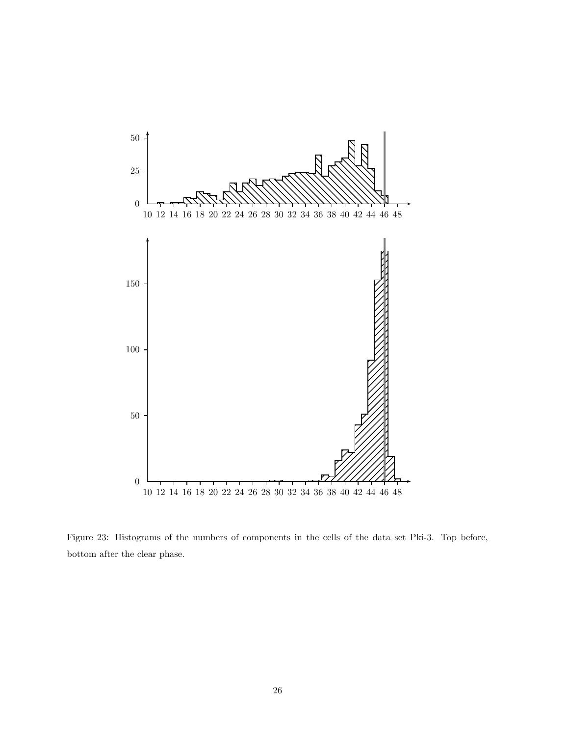

Figure 23: Histograms of the numbers of components in the cells of the data set Pki-3. Top before, bottom after the clear phase.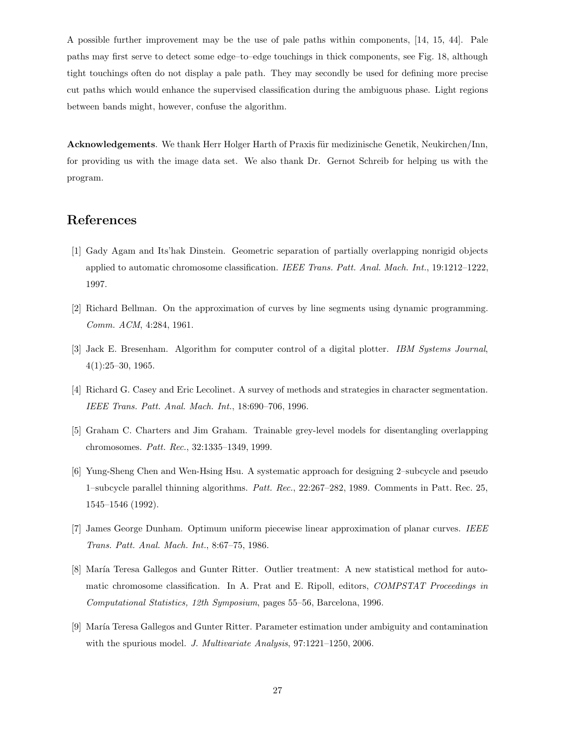A possible further improvement may be the use of pale paths within components, [14, 15, 44]. Pale paths may first serve to detect some edge–to–edge touchings in thick components, see Fig. 18, although tight touchings often do not display a pale path. They may secondly be used for defining more precise cut paths which would enhance the supervised classification during the ambiguous phase. Light regions between bands might, however, confuse the algorithm.

Acknowledgements. We thank Herr Holger Harth of Praxis für medizinische Genetik, Neukirchen/Inn, for providing us with the image data set. We also thank Dr. Gernot Schreib for helping us with the program.

### References

- [1] Gady Agam and Its'hak Dinstein. Geometric separation of partially overlapping nonrigid objects applied to automatic chromosome classification. IEEE Trans. Patt. Anal. Mach. Int., 19:1212–1222, 1997.
- [2] Richard Bellman. On the approximation of curves by line segments using dynamic programming. Comm. ACM, 4:284, 1961.
- [3] Jack E. Bresenham. Algorithm for computer control of a digital plotter. IBM Systems Journal,  $4(1):25-30, 1965.$
- [4] Richard G. Casey and Eric Lecolinet. A survey of methods and strategies in character segmentation. IEEE Trans. Patt. Anal. Mach. Int., 18:690–706, 1996.
- [5] Graham C. Charters and Jim Graham. Trainable grey-level models for disentangling overlapping chromosomes. Patt. Rec., 32:1335–1349, 1999.
- [6] Yung-Sheng Chen and Wen-Hsing Hsu. A systematic approach for designing 2–subcycle and pseudo 1–subcycle parallel thinning algorithms. Patt. Rec., 22:267–282, 1989. Comments in Patt. Rec. 25, 1545–1546 (1992).
- [7] James George Dunham. Optimum uniform piecewise linear approximation of planar curves. IEEE Trans. Patt. Anal. Mach. Int., 8:67–75, 1986.
- [8] María Teresa Gallegos and Gunter Ritter. Outlier treatment: A new statistical method for automatic chromosome classification. In A. Prat and E. Ripoll, editors, COMPSTAT Proceedings in Computational Statistics, 12th Symposium, pages 55–56, Barcelona, 1996.
- [9] María Teresa Gallegos and Gunter Ritter. Parameter estimation under ambiguity and contamination with the spurious model. J. Multivariate Analysis, 97:1221–1250, 2006.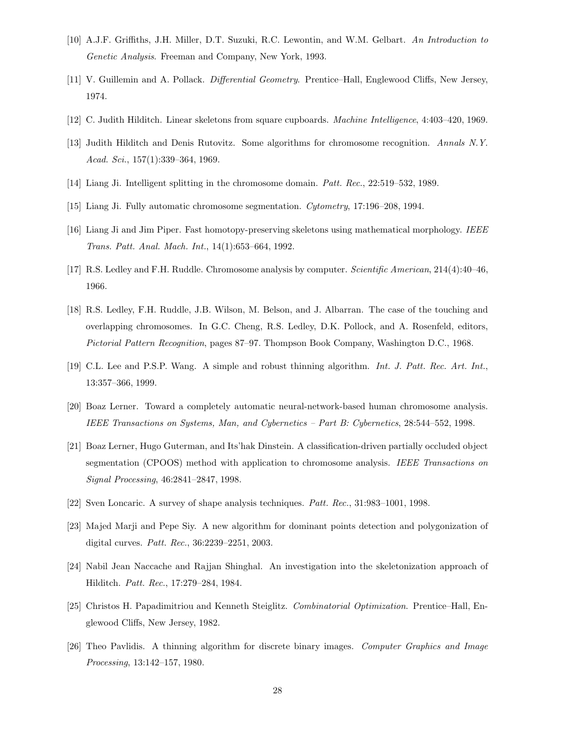- [10] A.J.F. Griffiths, J.H. Miller, D.T. Suzuki, R.C. Lewontin, and W.M. Gelbart. An Introduction to Genetic Analysis. Freeman and Company, New York, 1993.
- [11] V. Guillemin and A. Pollack. Differential Geometry. Prentice–Hall, Englewood Cliffs, New Jersey, 1974.
- [12] C. Judith Hilditch. Linear skeletons from square cupboards. Machine Intelligence, 4:403–420, 1969.
- [13] Judith Hilditch and Denis Rutovitz. Some algorithms for chromosome recognition. Annals N.Y. Acad. Sci., 157(1):339–364, 1969.
- [14] Liang Ji. Intelligent splitting in the chromosome domain. Patt. Rec., 22:519–532, 1989.
- [15] Liang Ji. Fully automatic chromosome segmentation. Cytometry, 17:196–208, 1994.
- [16] Liang Ji and Jim Piper. Fast homotopy-preserving skeletons using mathematical morphology. IEEE Trans. Patt. Anal. Mach. Int., 14(1):653–664, 1992.
- [17] R.S. Ledley and F.H. Ruddle. Chromosome analysis by computer. Scientific American, 214(4):40–46, 1966.
- [18] R.S. Ledley, F.H. Ruddle, J.B. Wilson, M. Belson, and J. Albarran. The case of the touching and overlapping chromosomes. In G.C. Cheng, R.S. Ledley, D.K. Pollock, and A. Rosenfeld, editors, Pictorial Pattern Recognition, pages 87–97. Thompson Book Company, Washington D.C., 1968.
- [19] C.L. Lee and P.S.P. Wang. A simple and robust thinning algorithm. Int. J. Patt. Rec. Art. Int., 13:357–366, 1999.
- [20] Boaz Lerner. Toward a completely automatic neural-network-based human chromosome analysis. IEEE Transactions on Systems, Man, and Cybernetics – Part B: Cybernetics, 28:544–552, 1998.
- [21] Boaz Lerner, Hugo Guterman, and Its'hak Dinstein. A classification-driven partially occluded object segmentation (CPOOS) method with application to chromosome analysis. IEEE Transactions on Signal Processing, 46:2841–2847, 1998.
- [22] Sven Loncaric. A survey of shape analysis techniques. Patt. Rec., 31:983–1001, 1998.
- [23] Majed Marji and Pepe Siy. A new algorithm for dominant points detection and polygonization of digital curves. Patt. Rec., 36:2239–2251, 2003.
- [24] Nabil Jean Naccache and Rajjan Shinghal. An investigation into the skeletonization approach of Hilditch. Patt. Rec., 17:279–284, 1984.
- [25] Christos H. Papadimitriou and Kenneth Steiglitz. Combinatorial Optimization. Prentice–Hall, Englewood Cliffs, New Jersey, 1982.
- [26] Theo Pavlidis. A thinning algorithm for discrete binary images. Computer Graphics and Image Processing, 13:142–157, 1980.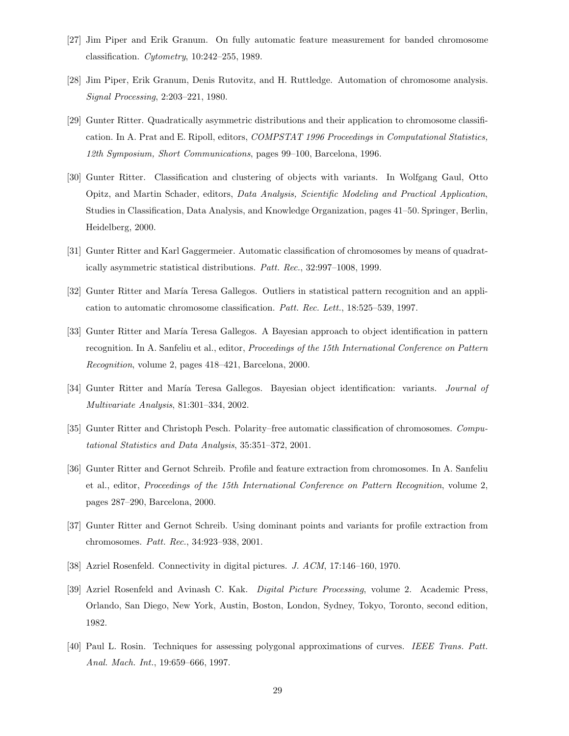- [27] Jim Piper and Erik Granum. On fully automatic feature measurement for banded chromosome classification. Cytometry, 10:242–255, 1989.
- [28] Jim Piper, Erik Granum, Denis Rutovitz, and H. Ruttledge. Automation of chromosome analysis. Signal Processing, 2:203–221, 1980.
- [29] Gunter Ritter. Quadratically asymmetric distributions and their application to chromosome classification. In A. Prat and E. Ripoll, editors, COMPSTAT 1996 Proceedings in Computational Statistics, 12th Symposium, Short Communications, pages 99–100, Barcelona, 1996.
- [30] Gunter Ritter. Classification and clustering of objects with variants. In Wolfgang Gaul, Otto Opitz, and Martin Schader, editors, Data Analysis, Scientific Modeling and Practical Application, Studies in Classification, Data Analysis, and Knowledge Organization, pages 41–50. Springer, Berlin, Heidelberg, 2000.
- [31] Gunter Ritter and Karl Gaggermeier. Automatic classification of chromosomes by means of quadratically asymmetric statistical distributions. Patt. Rec., 32:997–1008, 1999.
- [32] Gunter Ritter and María Teresa Gallegos. Outliers in statistical pattern recognition and an application to automatic chromosome classification. Patt. Rec. Lett., 18:525–539, 1997.
- [33] Gunter Ritter and María Teresa Gallegos. A Bayesian approach to object identification in pattern recognition. In A. Sanfeliu et al., editor, Proceedings of the 15th International Conference on Pattern Recognition, volume 2, pages 418–421, Barcelona, 2000.
- [34] Gunter Ritter and María Teresa Gallegos. Bayesian object identification: variants. Journal of Multivariate Analysis, 81:301–334, 2002.
- [35] Gunter Ritter and Christoph Pesch. Polarity–free automatic classification of chromosomes. Computational Statistics and Data Analysis, 35:351–372, 2001.
- [36] Gunter Ritter and Gernot Schreib. Profile and feature extraction from chromosomes. In A. Sanfeliu et al., editor, Proceedings of the 15th International Conference on Pattern Recognition, volume 2, pages 287–290, Barcelona, 2000.
- [37] Gunter Ritter and Gernot Schreib. Using dominant points and variants for profile extraction from chromosomes. Patt. Rec., 34:923–938, 2001.
- [38] Azriel Rosenfeld. Connectivity in digital pictures. J. ACM, 17:146–160, 1970.
- [39] Azriel Rosenfeld and Avinash C. Kak. Digital Picture Processing, volume 2. Academic Press, Orlando, San Diego, New York, Austin, Boston, London, Sydney, Tokyo, Toronto, second edition, 1982.
- [40] Paul L. Rosin. Techniques for assessing polygonal approximations of curves. IEEE Trans. Patt. Anal. Mach. Int., 19:659–666, 1997.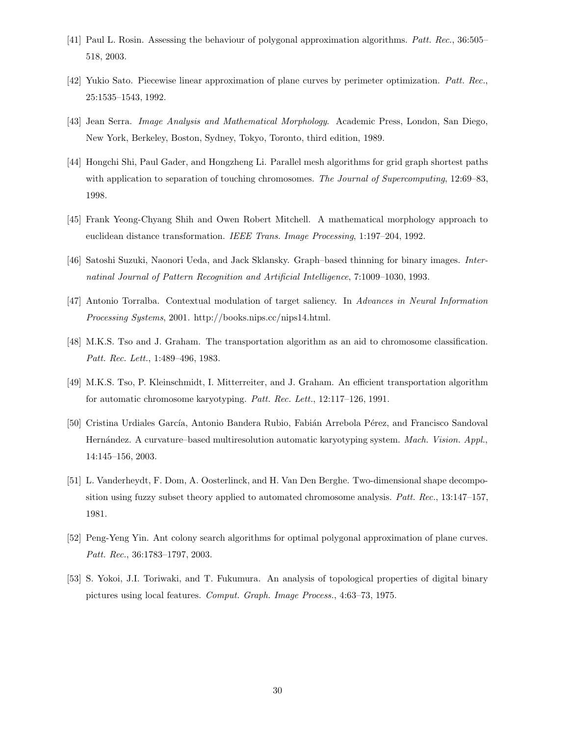- [41] Paul L. Rosin. Assessing the behaviour of polygonal approximation algorithms. Patt. Rec., 36:505-518, 2003.
- [42] Yukio Sato. Piecewise linear approximation of plane curves by perimeter optimization. Patt. Rec., 25:1535–1543, 1992.
- [43] Jean Serra. Image Analysis and Mathematical Morphology. Academic Press, London, San Diego, New York, Berkeley, Boston, Sydney, Tokyo, Toronto, third edition, 1989.
- [44] Hongchi Shi, Paul Gader, and Hongzheng Li. Parallel mesh algorithms for grid graph shortest paths with application to separation of touching chromosomes. The Journal of Supercomputing, 12:69–83, 1998.
- [45] Frank Yeong-Chyang Shih and Owen Robert Mitchell. A mathematical morphology approach to euclidean distance transformation. IEEE Trans. Image Processing, 1:197–204, 1992.
- [46] Satoshi Suzuki, Naonori Ueda, and Jack Sklansky. Graph–based thinning for binary images. Internatinal Journal of Pattern Recognition and Artificial Intelligence, 7:1009–1030, 1993.
- [47] Antonio Torralba. Contextual modulation of target saliency. In Advances in Neural Information Processing Systems, 2001. http://books.nips.cc/nips14.html.
- [48] M.K.S. Tso and J. Graham. The transportation algorithm as an aid to chromosome classification. Patt. Rec. Lett., 1:489–496, 1983.
- [49] M.K.S. Tso, P. Kleinschmidt, I. Mitterreiter, and J. Graham. An efficient transportation algorithm for automatic chromosome karyotyping. Patt. Rec. Lett., 12:117–126, 1991.
- [50] Cristina Urdiales García, Antonio Bandera Rubio, Fabián Arrebola Pérez, and Francisco Sandoval Hernández. A curvature–based multiresolution automatic karyotyping system. Mach. Vision. Appl., 14:145–156, 2003.
- [51] L. Vanderheydt, F. Dom, A. Oosterlinck, and H. Van Den Berghe. Two-dimensional shape decomposition using fuzzy subset theory applied to automated chromosome analysis. Patt. Rec., 13:147–157, 1981.
- [52] Peng-Yeng Yin. Ant colony search algorithms for optimal polygonal approximation of plane curves. Patt. Rec., 36:1783–1797, 2003.
- [53] S. Yokoi, J.I. Toriwaki, and T. Fukumura. An analysis of topological properties of digital binary pictures using local features. Comput. Graph. Image Process., 4:63–73, 1975.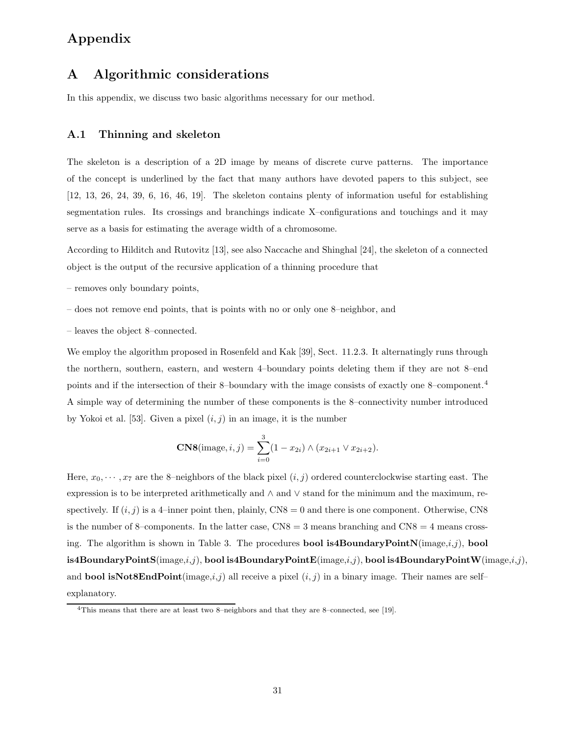# Appendix

# A Algorithmic considerations

In this appendix, we discuss two basic algorithms necessary for our method.

#### A.1 Thinning and skeleton

The skeleton is a description of a 2D image by means of discrete curve patterns. The importance of the concept is underlined by the fact that many authors have devoted papers to this subject, see [12, 13, 26, 24, 39, 6, 16, 46, 19]. The skeleton contains plenty of information useful for establishing segmentation rules. Its crossings and branchings indicate X–configurations and touchings and it may serve as a basis for estimating the average width of a chromosome.

According to Hilditch and Rutovitz [13], see also Naccache and Shinghal [24], the skeleton of a connected object is the output of the recursive application of a thinning procedure that

- removes only boundary points,
- does not remove end points, that is points with no or only one 8–neighbor, and
- leaves the object 8–connected.

We employ the algorithm proposed in Rosenfeld and Kak [39], Sect. 11.2.3. It alternatingly runs through the northern, southern, eastern, and western 4–boundary points deleting them if they are not 8–end points and if the intersection of their 8–boundary with the image consists of exactly one 8–component.<sup>4</sup> A simple way of determining the number of these components is the 8–connectivity number introduced by Yokoi et al. [53]. Given a pixel  $(i, j)$  in an image, it is the number

**CNS**(image, *i*, *j*) = 
$$
\sum_{i=0}^{3} (1 - x_{2i}) \wedge (x_{2i+1} \vee x_{2i+2}).
$$

Here,  $x_0, \dots, x_7$  are the 8–neighbors of the black pixel  $(i, j)$  ordered counterclockwise starting east. The expression is to be interpreted arithmetically and ∧ and ∨ stand for the minimum and the maximum, respectively. If  $(i, j)$  is a 4-inner point then, plainly, CN8 = 0 and there is one component. Otherwise, CN8 is the number of 8–components. In the latter case,  $CN8 = 3$  means branching and  $CN8 = 4$  means crossing. The algorithm is shown in Table 3. The procedures **bool is4BoundaryPointN**(image, $i, j$ ), **bool** is4BoundaryPointS( $\{image,i,j\}$ , bool is4BoundaryPointE( $\{image,i,j\}$ , bool is4BoundaryPointW( $\{image,i,j\}$ , and **bool isNot8EndPoint**(image, $i,j$ ) all receive a pixel  $(i, j)$  in a binary image. Their names are self– explanatory.

<sup>4</sup>This means that there are at least two 8–neighbors and that they are 8–connected, see [19].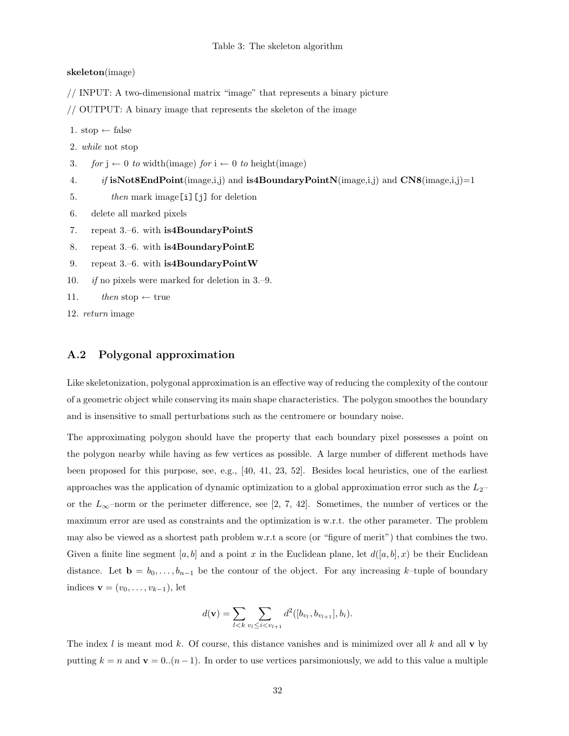#### Table 3: The skeleton algorithm

#### skeleton(image)

// INPUT: A two-dimensional matrix "image" that represents a binary picture

// OUTPUT: A binary image that represents the skeleton of the image

1. stop  $\leftarrow$  false

2. while not stop

3. for  $j \leftarrow 0$  to width(image) for  $i \leftarrow 0$  to height(image)

4. if isNot8EndPoint(image,i,j) and is4BoundaryPointN(image,i,j) and  $CN8$ (image,i,j)=1

- 5. then mark image [i] [j] for deletion
- 6. delete all marked pixels
- 7. repeat 3.–6. with **is4BoundaryPointS**
- 8. repeat 3.–6. with is 4Boundary Point E
- 9. repeat 3.–6. with is 4Boundary Point W
- 10. if no pixels were marked for deletion in 3.–9.
- 11. then stop  $\leftarrow$  true
- 12. return image

### A.2 Polygonal approximation

Like skeletonization, polygonal approximation is an effective way of reducing the complexity of the contour of a geometric object while conserving its main shape characteristics. The polygon smoothes the boundary and is insensitive to small perturbations such as the centromere or boundary noise.

The approximating polygon should have the property that each boundary pixel possesses a point on the polygon nearby while having as few vertices as possible. A large number of different methods have been proposed for this purpose, see, e.g., [40, 41, 23, 52]. Besides local heuristics, one of the earliest approaches was the application of dynamic optimization to a global approximation error such as the  $L_2$ – or the  $L_{\infty}$ –norm or the perimeter difference, see [2, 7, 42]. Sometimes, the number of vertices or the maximum error are used as constraints and the optimization is w.r.t. the other parameter. The problem may also be viewed as a shortest path problem w.r.t a score (or "figure of merit") that combines the two. Given a finite line segment [a, b] and a point x in the Euclidean plane, let  $d([a, b], x)$  be their Euclidean distance. Let  $\mathbf{b} = b_0, \ldots, b_{n-1}$  be the contour of the object. For any increasing k–tuple of boundary indices  $\mathbf{v} = (v_0, \ldots, v_{k-1}),$  let

$$
d(\mathbf{v}) = \sum_{l < k} \sum_{v_l \leq i < v_{l+1}} d^2([b_{v_l}, b_{v_{l+1}}], b_i).
$$

The index l is meant mod k. Of course, this distance vanishes and is minimized over all k and all v by putting  $k = n$  and  $\mathbf{v} = 0..(n-1)$ . In order to use vertices parsimoniously, we add to this value a multiple